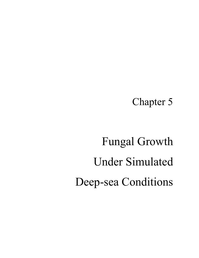Chapter 5

# Fungal Growth Under Simulated Deep-sea Conditions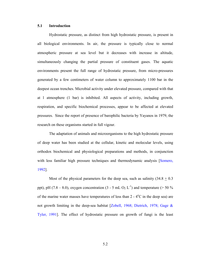### **5.1 Introduction**

Hydrostatic pressure, as distinct from high hydrostatic pressure, is present in all biological environments. In air, the pressure is typically close to normal atmospheric pressure at sea level but it decreases with increase in altitude, simultaneously changing the partial pressure of constituent gases. The aquatic environments present the full range of hydrostatic pressure, from micro-pressures generated by a few centimeters of water column to approximately 1100 bar in the deepest ocean trenches. Microbial activity under elevated pressure, compared with that at 1 atmosphere (1 bar) is inhibited. All aspects of activity, including growth, respiration, and specific biochemical processes, appear to be affected at elevated pressures. Since the report of presence of barophilic bacteria by Yayanos in 1979, the research on these organisms started in full vigour.

The adaptation of animals and microorganisms to the high hydrostatic pressure of deep water has been studied at the cellular, kinetic and molecular levels, using orthodox biochemical and physiological preparations and methods, in conjunction with less familiar high pressure techniques and thermodynamic analysis [Somero, 1992].

Most of the physical parameters for the deep sea, such as salinity  $(34.8 + 0.3)$ ppt), pH (7.8 – 8.0), oxygen concentration (3 - 5 mL O<sub>2</sub> L<sup>-1</sup>) and temperature (> 50 %) of the marine water masses have temperatures of less than  $2 - 4$ °C in the deep sea) are not growth limiting in the deep-sea habitat [Zobell, 1968; Dietrich, 1978; Gage & Tyler, 1991]. The effect of hydrostatic pressure on growth of fungi is the least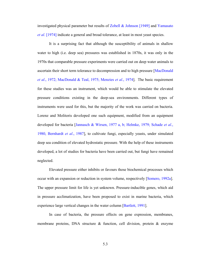investigated physical parameter but results of Zobell & Johnson [1949] and Yamasato *et al*. [1974] indicate a general and broad tolerance, at least in most yeast species.

It is a surprising fact that although the susceptibility of animals in shallow water to high (i.e. deep sea) pressures was established in 1870s, it was only in the 1970s that comparable pressure experiments were carried out on deep water animals to ascertain their short term tolerance to decompression and to high pressure [MacDonald *et al*., 1972; MacDonald & Teal, 1975; Menzies *et al*., 1974]. The basic requirement for these studies was an instrument, which would be able to stimulate the elevated pressure conditions existing in the deep-sea environments. Different types of instruments were used for this, but the majority of the work was carried on bacteria. Lorenz and Molitoris developed one such equipment, modified from an equipment developed for bacteria [Jannasch & Wirsen, 1977 a, b; Helmke, 1979; Schade *et al*., 1980, Bernhardt *et al*., 1987], to cultivate fungi, especially yeasts, under simulated deep sea condition of elevated hydrostatic pressure. With the help of these instruments developed, a lot of studies for bacteria have been carried out, but fungi have remained neglected.

Elevated pressure either inhibits or favours those biochemical processes which occur with an expansion or reduction in system volume, respectively [Somero, 1992a]. The upper pressure limit for life is yet unknown. Pressure-inducible genes, which aid in pressure acclimatization, have been proposed to exist in marine bacteria, which experience large vertical changes in the water column [Bartlett, 1991].

In case of bacteria, the pressure effects on gene expression, membranes, membrane proteins, DNA structure & function, cell division, protein & enzyme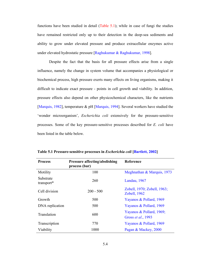functions have been studied in detail (Table 5.1); while in case of fungi the studies have remained restricted only up to their detection in the deep-sea sediments and ability to grow under elevated pressure and produce extracellular enzymes active under elevated hydrostatic pressure [Raghukumar & Raghukumar, 1998].

Despite the fact that the basis for all pressure effects arise from a single influence, namely the change in system volume that accompanies a physiological or biochemical process, high pressure exerts many effects on living organisms, making it difficult to indicate exact pressure - points in cell growth and viability. In addition, pressure effects also depend on other physicochemical characters, like the nutrients [Marquis, 1982], temperature & pH [Marquis, 1994]. Several workers have studied the 'wonder microorganism', *Escherichia coli* extensively for the pressure-sensitive processes. Some of the key pressure-sensitive processes described for *E. coli* have been listed in the table below.

| <b>Process</b>          | <b>Pressure affecting/abolishing</b><br>process (bar) | Reference                                              |
|-------------------------|-------------------------------------------------------|--------------------------------------------------------|
| Motility                | 100                                                   | Meghnathan & Marquis, 1973                             |
| Substrate<br>transport* | 260                                                   | Landau, 1967                                           |
| Cell division           | $200 - 500$                                           | Zobell, 1970; Zobell, 1963;<br>Zobell, 1962            |
| Growth                  | 500                                                   | Yayanos & Pollard, 1969                                |
| DNA replication         | 500                                                   | Yayanos & Pollard, 1969                                |
| Translation             | 600                                                   | Yayanos & Pollard, 1969;<br>Gross <i>et al.</i> , 1993 |
| Transcription           | 770                                                   | Yayanos & Pollard, 1969                                |
| Viability               | 1000                                                  | Pagan & Mackey, 2000                                   |

**Table 5.1 Pressure-sensitive processes in** *Escherichia coli* **[Bartlett, 2002]**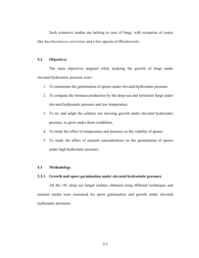Such extensive studies are lacking in case of fungi, with exception of yeasts like *Saccharomyces cerevisiae* and a few species of *Rhodotorula*.

### **5.2 Objectives**

 The main objectives targeted while studying the growth of fungi under elevated hydrostatic pressure were -

- 1. To enumerate the germination of spores under elevated hydrostatic pressure.
- 2. To compare the biomass production by the deep-sea and terrestrial fungi under elevated hydrostatic pressure and low temperature.
- 3. To try and adapt the cultures not showing growth under elevated hydrostatic pressure, to grow under these conditions.
- 4. To study the effect of temperature and pressure on the viability of spores.
- 5. To study the effect of nutrient concentrations on the germination of spores under high hydrostatic pressure.

### **5.3 Methodology**

### **5.3.1 Growth and spore germination under elevated hydrostatic pressure**

All the 181 deep sea fungal isolates obtained using different techniques and nutrient media were examined for spore germination and growth under elevated hydrostatic pressures.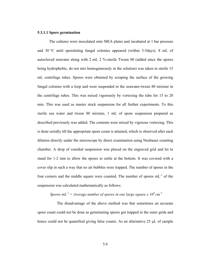### **5.3.1.1 Spore germination**

 The cultures were inoculated onto MEA plates and incubated at 1 bar pressure and 30 °C until sporulating fungal colonies appeared (within 3-5days). 8 mL of autoclaved seawater along with 2 mL 2 %-sterile Tween 80 (added since the spores being hydrophobic, do not mix homogeneously in the solution) was taken in sterile 15 mL centrifuge tubes. Spores were obtained by scraping the surface of the growing fungal colonies with a loop and were suspended in the seawater-tween 80 mixture in the centrifuge tubes. This was mixed vigorously by vortexing the tube for 15 to 20 min. This was used as master stock suspension for all further experiments. To this sterile sea water and tween 80 mixture, 1 mL of spore suspension prepared as described previously was added. The contents were mixed by vigorous vortexing. This is done serially till the appropriate spore count is attained, which is observed after each dilution directly under the microscope by direct examination using Neubauer counting chamber. A drop of conidial suspension was placed on the engraved grid and let to stand for 1-2 min to allow the spores to settle at the bottom. It was covered with a cover slip in such a way that no air bubbles were trapped. The number of spores in the four corners and the middle square were counted. The number of spores mL-1 of the suspension was calculated mathematically as follows:

### *Spores*  $mL^{-1} = A$ verage number of spores in one large square x  $10^4$  cm<sup>-3</sup>

 The disadvantage of the above method was that sometimes an accurate spore count could not be done as germinating spores got trapped in the outer grids and hence could not be quantified giving false counts. As an alternative 25 µL of sample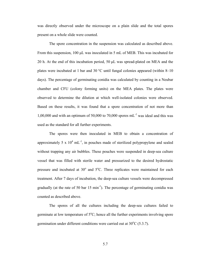was directly observed under the microscope on a plain slide and the total spores present on a whole slide were counted.

The spore concentration in the suspension was calculated as described above. From this suspension, 100 µL was inoculated in 5 mL of MEB. This was incubated for 20 h. At the end of this incubation period, 50 µL was spread-plated on MEA and the plates were incubated at 1 bar and 30 °C until fungal colonies appeared (within 8–10 days). The percentage of germinating conidia was calculated by counting in a Neubar chamber and CFU (colony forming units) on the MEA plates. The plates were observed to determine the dilution at which well-isolated colonies were observed. Based on these results, it was found that a spore concentration of not more than 1,00,000 and with an optimum of 50,000 to 70,000 spores  $mL^{-1}$  was ideal and this was used as the standard for all further experiments.

The spores were then inoculated in MEB to obtain a concentration of approximately 5 x  $10^4$  mL<sup>-1</sup>, in pouches made of sterilized polypropylene and sealed without trapping any air bubbles. These pouches were suspended in deep-sea culture vessel that was filled with sterile water and pressurized to the desired hydrostatic pressure and incubated at  $30^{\circ}$  and  $5^{\circ}$ C. Three replicates were maintained for each treatment. After 7 days of incubation, the deep-sea culture vessels were decompressed gradually (at the rate of 50 bar 15 min<sup>-1</sup>). The percentage of germinating conidia was counted as described above.

The spores of all the cultures including the deep-sea cultures failed to germinate at low temperature of  $5^{\circ}$ C; hence all the further experiments involving spore germination under different conditions were carried out at  $30^{\circ}$ C (5.3.7).

5.7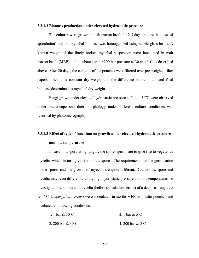### **5.3.1.2 Biomass production under elevated hydrostatic pressure**

The cultures were grown in malt extract broth for 2-3 days (before the onset of sporulation) and the mycelial biomass was homogenized using sterile glass beads. A known weight of the finely broken mycelial suspension were inoculated in malt extract broth (MEB) and incubated under 200 bar pressure at 30 and  $5^{\circ}$ C as described above. After 20 days, the contents of the pouches were filtered over pre-weighed filter papers, dried to a constant dry weight and the difference in the initial and final biomass determined as mycelial dry weight.

Fungi grown under elevated hydrostatic pressure at 5° and 30°C were observed under microscope and their morphology under different culture conditions was recorded by photomicrography.

# **5.3.1.3 Effect of type of inoculum on growth under elevated hydrostatic pressure and low temperature**

In case of a sporulating fungus, the spores germinate to give rise to vegetative mycelia, which in turn give rise to new spores. The requirements for the germination of the spores and the growth of mycelia are quite different. Due to this, spore and mycelia may react differently to the high hydrostatic pressure and low temperature. To investigate this, spores and mycelia (before sporulation sets in) of a deep-sea fungus, # A 4634 (*Aspergillus terreus*) were inoculated in sterile MEB in plastic pouches and incubated at following conditions:

| 1. 1 bar $\&$ 30 <sup>o</sup> C | 2. 1 bar & $5^{\circ}$ C   |
|---------------------------------|----------------------------|
| 3. 200 bar $& 30^{\circ}$ C     | 4. 200 bar & $5^{\circ}$ C |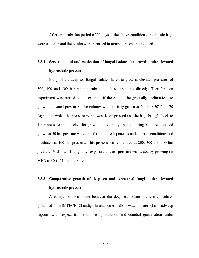After an incubation period of 20 days at the above conditions, the plastic bags were cut open and the results were recorded in terms of biomass produced.

# **5.3.2 Screening and acclimatization of fungal isolates for growth under elevated hydrostatic pressure**

Many of the deep-sea fungal isolates failed to grow at elevated pressures of 300, 400 and 500 bar when incubated at these pressures directly. Therefore, an experiment was carried out to examine if these could be gradually acclimatized to grow at elevated pressures. The cultures were initially grown at 50 bar  $/ 30^{\circ}$ C for 20 days, after which the pressure vessel was decompressed and the bags brought back to 1 bar pressure and checked for growth and viability upon culturing. Cultures that had grown at 50 bar pressure were transferred to fresh pouches under sterile conditions and incubated at 100 bar pressure. This process was continued at 200, 300 and 400 bar pressure. Viability of fungi after exposure to each pressure was tested by growing on MEA at  $30^{\circ}$ C / 1 bar pressure.

# **5.3.3 Comparative growth of deep-sea and terrestrial fungi under elevated hydrostatic pressure**

A comparison was done between the deep-sea isolates, terrestrial isolates (obtained from IMTECH, Chandigarh) and some shallow water isolates (Lakshadweep lagoon) with respect to the biomass production and conidial germination under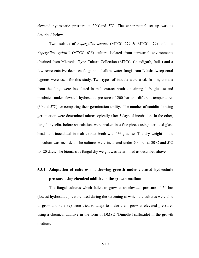elevated hydrostatic pressure at  $30^{\circ}$ Cand  $5^{\circ}$ C. The experimental set up was as described below.

Two isolates of *Aspergillus terreus* (MTCC 279 & MTCC 479) and one *Aspergillus sydowii* (MTCC 635) culture isolated from terrestrial environments obtained from Microbial Type Culture Collection (MTCC, Chandigarh, India) and a few representative deep-sea fungi and shallow water fungi from Lakshadweep coral lagoons were used for this study. Two types of inocula were used. In one, conidia from the fungi were inoculated in malt extract broth containing 1 % glucose and incubated under elevated hydrostatic pressure of 200 bar and different temperatures  $(30 \text{ and } 5^{\circ}\text{C})$  for comparing their germination ability. The number of conidia showing germination were determined microscopically after 5 days of incubation. In the other, fungal mycelia, before sporulation, were broken into fine pieces using sterilized glass beads and inoculated in malt extract broth with 1% glucose. The dry weight of the inoculum was recorded. The cultures were incubated under 200 bar at  $30^{\circ}$ C and  $5^{\circ}$ C for 20 days. The biomass as fungal dry weight was determined as described above.

# **5.3.4 Adaptation of cultures not showing growth under elevated hydrostatic pressure using chemical additive in the growth medium**

The fungal cultures which failed to grow at an elevated pressure of 50 bar (lowest hydrostatic pressure used during the screening at which the cultures were able to grow and survive) were tried to adapt to make them grow at elevated pressures using a chemical additive in the form of DMSO (Dimethyl sulfoxide) in the growth medium.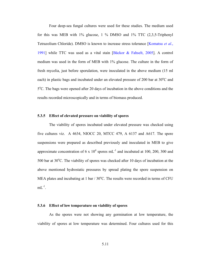Four deep-sea fungal cultures were used for these studies. The medium used for this was MEB with 1% glucose, 1 % DMSO and 1% TTC (2,3,5-Triphenyl Tetrazolium Chloride). DMSO is known to increase stress tolerance [Komatsu *et al*., 1991] while TTC was used as a vital stain [Bǎckor & Fahselt, 2005]. A control medium was used in the form of MEB with 1% glucose. The culture in the form of fresh mycelia, just before sporulation, were inoculated in the above medium (15 ml each) in plastic bags and incubated under an elevated pressure of 200 bar at  $30^{\circ}$ C and 5<sup>o</sup>C. The bags were opened after 20 days of incubation in the above conditions and the results recorded microscopically and in terms of biomass produced.

### **5.3.5 Effect of elevated pressure on viability of spores**

The viability of spores incubated under elevated pressure was checked using five cultures viz. A 4634, NIOCC 20, MTCC 479, A 6137 and A617. The spore suspensions were prepared as described previously and inoculated in MEB to give approximate concentration of 6 x  $10^4$  spores mL<sup>-1</sup> and incubated at 100, 200, 300 and 500 bar at  $30^{\circ}$ C. The viability of spores was checked after 10 days of incubation at the above mentioned hydrostatic pressures by spread plating the spore suspension on MEA plates and incubating at 1 bar  $/ 30^{\circ}$ C. The results were recorded in terms of CFU  $mL^{-1}$ .

### **5.3.6 Effect of low temperature on viability of spores**

As the spores were not showing any germination at low temperature, the viability of spores at low temperature was determined. Four cultures used for this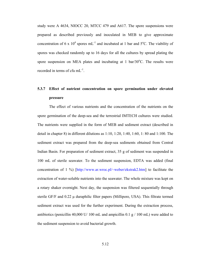study were A 4634, NIOCC 20, MTCC 479 and A617. The spore suspensions were prepared as described previously and inoculated in MEB to give approximate concentration of 6 x 10<sup>4</sup> spores mL<sup>-1</sup> and incubated at 1 bar and 5<sup>o</sup>C. The viability of spores was checked randomly up to 16 days for all the cultures by spread plating the spore suspension on MEA plates and incubating at  $1 \text{ bar}/30^{\circ}\text{C}$ . The results were recorded in terms of cfu mL-1.

# **5.3.7 Effect of nutrient concentration on spore germination under elevated pressure**

The effect of various nutrients and the concentration of the nutrients on the spore germination of the deep-sea and the terrestrial IMTECH cultures were studied. The nutrients were supplied in the form of MEB and sediment extract (described in detail in chapter 8) in different dilutions as 1:10, 1:20, 1:40, 1:60, 1: 80 and 1:100. The sediment extract was prepared from the deep-sea sediments obtained from Central Indian Basin. For preparation of sediment extract, 35 g of sediment was suspended in 100 mL of sterile seawater. To the sediment suspension, EDTA was added (final concentration of 1 %) [http://www.ar.wroc.pl/~weber/ekstrak2.htm] to facilitate the extraction of water-soluble nutrients into the seawater. The whole mixture was kept on a rotary shaker overnight. Next day, the suspension was filtered sequentially through sterile GF/F and  $0.22 \mu$  duraphilic filter papers (Millipore, USA). This filtrate termed sediment extract was used for the further experiment. During the extraction process, antibiotics (penicillin 40,000 U/ 100 mL and ampicillin 0.1 g / 100 mL) were added to the sediment suspension to avoid bacterial growth.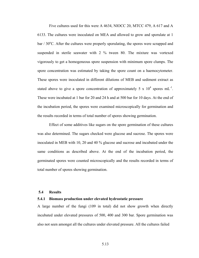Five cultures used for this were A 4634, NIOCC 20, MTCC 479, A 617 and A 6133. The cultures were inoculated on MEA and allowed to grow and sporulate at 1  $bar/30^{\circ}$ C. After the cultures were properly sporulating, the spores were scrapped and suspended in sterile seawater with 2 % tween 80. The mixture was vortexed vigorously to get a homogeneous spore suspension with minimum spore clumps. The spore concentration was estimated by taking the spore count on a haemocytometer. These spores were inoculated in different dilutions of MEB and sediment extract as stated above to give a spore concentration of approximately 5 x  $10^4$  spores mL<sup>-1</sup>. These were incubated at 1 bar for 20 and 24 h and at 500 bar for 10 days. At the end of the incubation period, the spores were examined microscopically for germination and the results recorded in terms of total number of spores showing germination.

 Effect of some additives like sugars on the spore germination of these cultures was also determined. The sugars checked were glucose and sucrose. The spores were inoculated in MEB with 10, 20 and 40 % glucose and sucrose and incubated under the same conditions as described above. At the end of the incubation period, the germinated spores were counted microscopically and the results recorded in terms of total number of spores showing germination.

### **5.4 Results**

### **5.4.1 Biomass production under elevated hydrostatic pressure**

A large number of the fungi (109 in total) did not show growth when directly incubated under elevated pressures of 500, 400 and 300 bar. Spore germination was also not seen amongst all the cultures under elevated pressure. All the cultures failed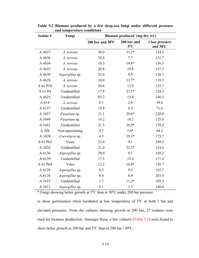| Isolate # | anu temperature continuons<br>Biomass produced (mg dry wt.)<br>Fungi |                            |                              |                            |  |  |
|-----------|----------------------------------------------------------------------|----------------------------|------------------------------|----------------------------|--|--|
|           |                                                                      | 200 bar and $30^{\circ}$ C | 200 bar and<br>$5^{\circ}$ C | 1 bar pressure<br>and 30°C |  |  |
| A 4637    | A. terreus                                                           | 30.0                       | $31.2*$                      | 134.5                      |  |  |
| A 4636    | A. terreus                                                           | 38.4                       | 7.7                          | 132.7                      |  |  |
| A 4634    | A. terreus                                                           | 18.3                       | $19.6*$                      | 156.3                      |  |  |
| A 4633    | A. terreus                                                           | 20.8                       | 19.8                         | 121.3                      |  |  |
| A 4630    | Aspergillus sp.                                                      | 25.6                       | 9.0                          | 126.7                      |  |  |
| A 4628    | A. terreus                                                           | 10.0                       | $13.7*$                      | 118.3                      |  |  |
| A 61 P10  | A. terreus                                                           | 20.6                       | 12.9                         | 125.7                      |  |  |
| A 61 P4   | Unidentified                                                         | 17.8                       | $27.1*$                      | 128.2                      |  |  |
| A 4625    | Unidentified                                                         | 65.2                       | 13.8                         | 140.2                      |  |  |
| A 614     | A. terreus                                                           | 8.1                        | 2.9                          | 59.6                       |  |  |
| A 6137    | Unidentified                                                         | 15.4                       | 6.5                          | 71.6                       |  |  |
| A 3457    | Fusarium sp.                                                         | 21.1                       | 29.6*                        | 228.0                      |  |  |
| A 3449    | Fusarium sp.                                                         | 14.2                       | 10.1                         | 125.8                      |  |  |
| A 3441    | Unidentified                                                         | 31.5                       | 38.9*                        | 178.0                      |  |  |
| A 348     | Non-sporulating                                                      | 4.7                        | $5.4*$                       | 64.3                       |  |  |
| A 3428    | Curvularia sp.                                                       | 4.5                        | $19.3*$                      | 175.7                      |  |  |
| A 61 P63  | Yeast                                                                | 23.4                       | 9.1                          | 249.2                      |  |  |
| A 3426    | Unidentified                                                         | 21.0                       | $22.2*$                      | 234.6                      |  |  |
| A 6136    | Aspergillus sp.                                                      | 20.0                       | 9.1                          | 169.2                      |  |  |
| A 6139    | Unidentified                                                         | 17.5                       | 15.4                         | 171.4                      |  |  |
| A 61 P64  | Yeast                                                                | 12.2                       | $16.8*$                      | 150.7                      |  |  |
| A 6128    | Aspergillus sp.                                                      | 9.3                        | 9.3                          | 165.7                      |  |  |
| A 6126    | Aspergillus sp.                                                      | 9.8                        | 8.9                          | 203.4                      |  |  |
| A 3415    | Unidentified                                                         | 1.7                        | $11.3*$                      | 105.3                      |  |  |
| A 3412    | Aspergillus sp.                                                      | 3.1                        | 1.7                          | 140.0                      |  |  |

**Table 5.2 Biomass produced by a few deep-sea fungi under different pressure and temperature conditions** 

\* Fungi showing better growth at 5°C than at 30°C under 200 bar pressure

to show germination when incubated at low temperature of  $5^{\circ}$ C at both 1 bar and elevated pressures. From the cultures showing growth at 200 bar, 27 isolates were used for biomass production. Amongst these, a few cultures (Table 5.2) were found to show better growth at 200 bar and  $5^{\circ}$ C than at 200 bar / 30 $^{\circ}$ C.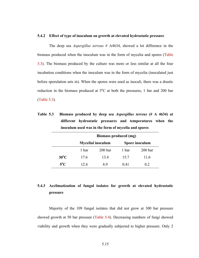### **5.4.2 Effect of type of inoculum on growth at elevated hydrostatic pressure**

 The deep sea *Aspergillus terreus* # A4634, showed a lot difference in the biomass produced when the inoculum was in the form of mycelia and spores (Table 5.3). The biomass produced by the culture was more or less similar at all the four incubation conditions when the inoculum was in the form of mycelia (inoculated just before sporulation sets in). When the spores were used as inoculi, there was a drastic reduction in the biomass produced at  $5^{\circ}$ C at both the pressures, 1 bar and 200 bar (Table 5.3).

| Table 5.3 | Biomass produced by deep sea <i>Aspergillus terreus</i> (# A 4634) at |
|-----------|-----------------------------------------------------------------------|
|           | different hydrostatic pressures and temperatures when the             |
|           | inoculum used was in the form of mycelia and spores                   |

|                | Biomass produced (mg)    |                    |       |                    |  |
|----------------|--------------------------|--------------------|-------|--------------------|--|
|                | <b>Mycelial inoculum</b> | Spore inoculum     |       |                    |  |
|                | 1 bar                    | 200 <sub>bar</sub> | 1 bar | 200 <sub>bar</sub> |  |
| $30^{\circ}$ C | 17.6                     | 134                | 15.7  | 11.6               |  |
| $5^{\circ}$ C  | 12.4                     | 89                 | 0.41  | 02                 |  |

### **5.4.3 Acclimatization of fungal isolates for growth at elevated hydrostatic pressure**

Majority of the 109 fungal isolates that did not grow at 300 bar pressure showed growth at 50 bar pressure (Table 5.4). Decreasing numbers of fungi showed viability and growth when they were gradually subjected to higher pressure. Only 2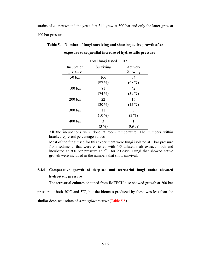strains of *A. terreus* and the yeast # A 344 grew at 300 bar and only the latter grew at 400 bar pressure.

| Total fungi tested $-109$ |           |                     |  |  |
|---------------------------|-----------|---------------------|--|--|
| Incubation<br>pressure    | Surviving | Actively<br>Growing |  |  |
| 50 bar                    | 106       | 74                  |  |  |
|                           | $(97\%)$  | $(68\%)$            |  |  |
| 100 <sub>bar</sub>        | 81        | 42                  |  |  |
|                           | $(74\%)$  | $(39\%)$            |  |  |
| 200 <sub>bar</sub>        | 22        | 16                  |  |  |
|                           | $(20\%)$  | $(15\%)$            |  |  |
| 300 bar                   | 11        | 3                   |  |  |
|                           | $(10\%)$  | $(3\%)$             |  |  |
| 400 <sub>bar</sub>        | 3         |                     |  |  |
|                           | $(3\%)$   | $(0.9\%)$           |  |  |

**Table 5.4 Number of fungi surviving and showing active growth after exposure to sequential increase of hydrostatic pressure** 

All the incubations were done at room temperature. The numbers within bracket represent percentage values.

Most of the fungi used for this experiment were fungi isolated at 1 bar pressure from sediments that were enriched with 1/5 diluted malt extract broth and incubated at 300 bar pressure at  $5^{\circ}$ C for 20 days. Fungi that showed active growth were included in the numbers that show survival.

### **5.4.4 Comparative growth of deep-sea and terrestrial fungi under elevated hydrostatic pressure**

The terrestrial cultures obtained from IMTECH also showed growth at 200 bar

pressure at both  $30^{\circ}$ C and  $5^{\circ}$ C, but the biomass produced by these was less than the

similar deep sea isolate of *Aspergillus terreus* (Table 5.5).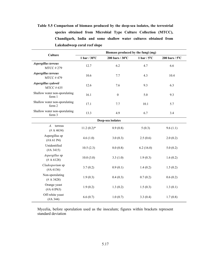**Table 5.5 Comparison of biomass produced by the deep-sea isolates, the terrestrial species obtained from Microbial Type Culture Collection (MTCC), Chandigarh, India and some shallow water cultures obtained from Lakshadweep coral reef slope** 

| <b>Culture</b>                          | Biomass produced by the fungi (mg) |                   |                      |                          |  |  |
|-----------------------------------------|------------------------------------|-------------------|----------------------|--------------------------|--|--|
|                                         | 1 bar / $30^{\circ}$ C             | 200 bars / 30°C   | 1 bar $/5^{\circ}$ C | 200 bars / $5^{\circ}$ C |  |  |
| Aspergillus terreus<br><b>MTCC#279</b>  | 12.7                               | 6.2               | 4.7                  | 6.6                      |  |  |
| Aspergillus terreus<br><b>MTCC#479</b>  | 10.6                               | 7.7               | 4.3                  | 10.4                     |  |  |
| Aspergillus sydowii<br><b>MTCC#635</b>  | 12.6                               | 7.6               | 9.3                  | 6.3                      |  |  |
| Shallow water non-sporulating<br>form 1 | 16.1                               | $\boldsymbol{0}$  | 5.0                  | 9.3                      |  |  |
| Shallow water non-sporulating<br>form 2 | 17.1                               | 7.7               | 10.1                 | 5.7                      |  |  |
| Shallow water non-sporulating<br>form 3 | 13.3                               | 4.9               | 6.7                  | 3.4                      |  |  |
|                                         |                                    | Deep-sea isolates |                      |                          |  |  |
| terreus<br>$A$ .<br>(# A 4634)          | $11.2(0.2)*$                       | 8.9(0.8)          | 5(0.3)               | 9.6(1.1)                 |  |  |
| Aspergillus sp<br>(#A 61 P4)            | 4.6(1.0)                           | 3.0(0.3)          | 2.5(0.6)             | 2.0(0.2)                 |  |  |
| Unidentified<br>(HA 3415)               | 10.5(2.3)                          | 8.0(0.8)          | 6.2(16.0)            | 5.0(0.2)                 |  |  |
| Aspergillus sp<br>(# A 6128)            | 10.0(3.0)                          | 3.3(1.0)          | 1.9(0.3)             | 1.6(0.2)                 |  |  |
| Cladosporium sp<br>(#A 6136)            | 3.7(0.2)                           | 0.9(0.1)          | 1.4(0.2)             | 1.5(0.2)                 |  |  |
| Non-sporulating<br>(# A 3428)           | 1.9(0.3)                           | 0.4(0.3)          | 0.7(0.2)             | 0.6(0.2)                 |  |  |
| Orange yeast<br>(#A 61P63)              | 1.9(0.2)                           | 1.3(0.2)          | 1.5(0.3)             | 1.3(0.1)                 |  |  |
| Off-white yeast<br>(HA 344)             | 6.6(0.7)                           | 1.0(0.7)          | 3.3(0.4)             | 1.7(0.8)                 |  |  |

Mycelia, before sporulation used as the inoculum; figures within brackets represent standard deviation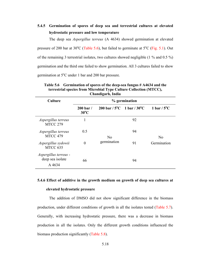### **5.4.5 Germination of spores of deep sea and terrestrial cultures at elevated hydrostatic pressure and low temperature**

The deep sea *Aspergillus terreus* (A 4634) showed germination at elevated pressure of 200 bar at  $30^{\circ}$ C (Table 5.6), but failed to germinate at  $5^{\circ}$ C (Fig. 5.1). Out of the remaining 3 terrestrial isolates, two cultures showed negligible (1 % and 0.5 %) germination and the third one failed to show germination. All 3 cultures failed to show germination at  $5^{\circ}$ C under 1 bar and 200 bar pressure.

| Unanuigai ny mana                                   |                                        |                                                |    |                      |  |  |
|-----------------------------------------------------|----------------------------------------|------------------------------------------------|----|----------------------|--|--|
| <b>Culture</b>                                      | % germination                          |                                                |    |                      |  |  |
|                                                     | $200 \,\mathrm{bar}$<br>$30^{\circ}$ C | 200 bar / $5^{\circ}$ C 1 bar / $30^{\circ}$ C |    | 1 bar $/5^{\circ}$ C |  |  |
| Aspergillus terreus<br><b>MTCC 279</b>              | 1                                      |                                                | 92 |                      |  |  |
| Aspergillus terreus<br>MTCC 479                     | 0.5                                    | No                                             | 94 | N <sub>0</sub>       |  |  |
| Aspergillus sydowii<br>MTCC 635                     | $\overline{0}$                         | germination                                    | 91 | Germination          |  |  |
| Aspergillus terreus -<br>deep sea isolate<br>A 4634 | 66                                     |                                                | 94 |                      |  |  |

**Table 5.6 Germination of spores of the deep-sea fungus # A4634 and the terrestrial species from Microbial Type Culture Collection (MTCC), Chandigarh, India** 

### **5.4.6 Effect of additive in the growth medium on growth of deep sea cultures at**

### **elevated hydrostatic pressure**

The addition of DMSO did not show significant difference in the biomass production, under different conditions of growth in all the isolates tested (Table 5.7). Generally, with increasing hydrostatic pressure, there was a decrease in biomass production in all the isolates. Only the different growth conditions influenced the biomass production significantly (Table 5.8).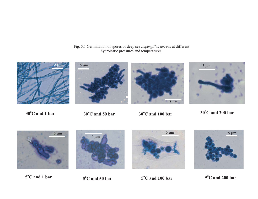Fig. 5.1 Germination of spores of deep sea *Aspergillus terreus* at different hydrostatic pressures and temperatures.









**oC and 1 bar <sup>30</sup>oC and 200 bar <sup>30</sup><sup>o</sup> <sup>30</sup> C and 100 bar oC and 50 bar**









5<sup>o</sup>C and 1 bar **5<sup>o</sup>C and 50 bar 5<sup>o</sup>C and 100 bar 5<sup>o</sup>C and 200 bar**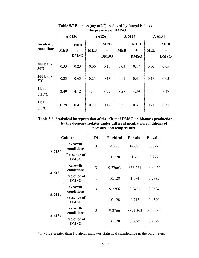|                                        | A 6136     |                                  | A 6126     |                                     | A 6127     |                                     | A 6134     |                                     |
|----------------------------------------|------------|----------------------------------|------------|-------------------------------------|------------|-------------------------------------|------------|-------------------------------------|
| <b>Incubation</b><br>conditions        | <b>MEB</b> | <b>MEB</b><br>$+$<br><b>DMSO</b> | <b>MEB</b> | <b>MEB</b><br>$^{+}$<br><b>DMSO</b> | <b>MEB</b> | <b>MEB</b><br>$^{+}$<br><b>DMSO</b> | <b>MEB</b> | <b>MEB</b><br>$^{+}$<br><b>DMSO</b> |
| $200 \,\mathrm{bar}$<br>$30^{\circ}$ C | 0.33       | 0.23                             | 0.06       | 0.10                                | 0.03       | 0.17                                | 0.05       | 0.05                                |
| $200$ bar /<br>$5^{\circ}$ C           | 0.23       | 0.63                             | 0.21       | 0.13                                | 0.11       | 0.44                                | 0.13       | 0.03                                |
| 1 bar<br>$/30^{\circ}$ C               | 2.49       | 4.12                             | 4.41       | 3.97                                | 8.58       | 4.39                                | 7.55       | 7.47                                |
| 1 bar<br>$/5^{\circ}$ C                | 0.29       | 0.41                             | 0.22       | 0.17                                | 0.28       | 0.31                                | 0.21       | 0.37                                |

**Table 5.7 Biomass (mg mL-1)produced by fungal isolates in the presence of DMSO** 

**Table 5.8 Statistical interpretation of the effect of DMSO on biomass production by the deep-sea isolates under different incubation conditions of pressure and temperature** 

|        | <b>Culture</b>                    | Df           | <b>F</b> critical | F - value | P - value |
|--------|-----------------------------------|--------------|-------------------|-----------|-----------|
| A 6136 | Growth<br>conditions              | 3            | 9.277             | 14.621    | 0.027     |
|        | <b>Presence of</b><br><b>DMSO</b> | $\mathbf{1}$ | 10.128            | 1.76      | 0.277     |
|        | Growth<br>conditions              | 3            | 9.27663           | 366.271   | 0.00024   |
| A 6126 | <b>Presence of</b><br><b>DMSO</b> | $\mathbf{1}$ | 10.128            | 1.574     | 0.2985    |
| A 6127 | Growth<br>conditions              | 3            | 9.2766            | 8.2427    | 0.0584    |
|        | <b>Presence of</b><br><b>DMSO</b> | 1            | 10.128            | 0.715     | 0.4599    |
| A 6134 | Growth<br>conditions              | 3            | 9.2766            | 3892.303  | 0.000006  |
|        | <b>Presence of</b><br><b>DMSO</b> | 1            | 10.128            | 0.0072    | 0.9379    |

\* F-value greater than F critical indicates statistical significance in the parameters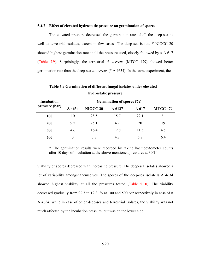### **5.4.7 Effect of elevated hydrostatic pressure on germination of spores**

The elevated pressure decreased the germination rate of all the deep-sea as well as terrestrial isolates, except in few cases The deep-sea isolate # NIOCC 20 showed highest germination rate at all the pressure used, closely followed by  $# A 617$ (Table 5.9). Surprisingly, the terrestrial *A. terreus* (MTCC 479) showed better germination rate than the deep-sea *A. terreus* (# A 4634). In the same experiment, the

|                   | $-1$ , $-1$ , $-1$ , $-1$ , $-1$ , $-1$ , $-1$ |                     |        |       |                 |  |  |
|-------------------|------------------------------------------------|---------------------|--------|-------|-----------------|--|--|
| <b>Incubation</b> | Germination of spores (%)                      |                     |        |       |                 |  |  |
| pressure (bar)    | A 4634                                         | NIOCC <sub>20</sub> | A 6137 | A 617 | <b>MTCC 479</b> |  |  |
| <b>100</b>        | 10                                             | 28.5                | 15.7   | 22.1  | 21              |  |  |
| 200               | 9.2                                            | 25.1                | 4.2    | 20    | 19              |  |  |
| 300               | 4.6                                            | 16.4                | 12.8   | 11.5  | 4.5             |  |  |
| 500               | $\mathcal{E}$                                  | 7.8                 | 4.2    | 5.2   | 6.4             |  |  |

**Table 5.9 Germination of different fungal isolates under elevated hydrostatic pressure** 

\* The germination results were recorded by taking haemocytometer counts after 10 days of incubation at the above-mentioned pressures at  $30^{\circ}$ C.

viability of spores decreased with increasing pressure. The deep-sea isolates showed a lot of variability amongst themselves. The spores of the deep-sea isolate # A 4634 showed highest viability at all the pressures tested (Table 5.10). The viability decreased gradually from 92.3 to 12.8 % at 100 and 500 bar respectively in case of # A 4634, while in case of other deep-sea and terrestrial isolates, the viability was not much affected by the incubation pressure, but was on the lower side.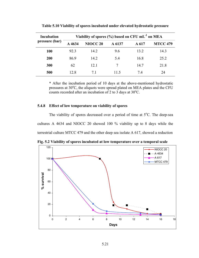| Incubation     | Viability of spores (%) based on CFU mL <sup>-1</sup> on MEA |                 |        |       |                 |  |
|----------------|--------------------------------------------------------------|-----------------|--------|-------|-----------------|--|
| pressure (bar) | A 4634                                                       | <b>NIOCC 20</b> | A 6137 | A 617 | <b>MTCC 479</b> |  |
| 100            | 92.3                                                         | 14.2            | 9.6    | 13.2  | 14.3            |  |
| 200            | 86.9                                                         | 14.2            | 5.4    | 16.8  | 25.2            |  |
| 300            | 62                                                           | 12.1            | 7      | 14.7  | 21.8            |  |
| 500            | 12.8                                                         | 71              | 11.5   | 74    | 24              |  |

**Table 5.10 Viability of spores incubated under elevated hydrostatic pressure** 

\* After the incubation period of 10 days at the above-mentioned hydrostatic pressures at 30°C, the aliquots were spread plated on MEA plates and the CFU counts recorded after an incubation of 2 to 3 days at  $30^{\circ}$ C.

### **5.4.8 Effect of low temperature on viability of spores**

The viability of spores decreased over a period of time at  $5^{\circ}$ C. The deep-sea cultures A 4634 and NIOCC 20 showed 100 % viability up to 8 days while the terrestrial culture MTCC 479 and the other deep sea isolate A 617, showed a reduction



**Fig. 5.2 Viability of spores incubated at low temperature over a temporal scale**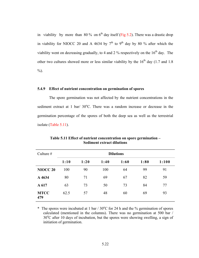in viability by more than 80 % on  $6<sup>th</sup>$  day itself (Fig 5.2). There was a drastic drop in viability for NIOCC 20 and A 4634 by  $7<sup>th</sup>$  to 9<sup>th</sup> day by 80 % after which the viability went on decreasing gradually, to 4 and 2 % respectively on the  $16<sup>th</sup>$  day. The other two cultures showed more or less similar viability by the  $16<sup>th</sup>$  day (1.7 and 1.8)  $\%$ ).

### **5.4.9 Effect of nutrient concentration on germination of spores**

 The spore germination was not affected by the nutrient concentrations in the sediment extract at 1 bar/  $30^{\circ}$ C. There was a random increase or decrease in the germination percentage of the spores of both the deep sea as well as the terrestrial isolate (Table 5.11).

| Culture $#$        | <b>Dilutions</b> |      |      |      |      |       |
|--------------------|------------------|------|------|------|------|-------|
|                    | 1:10             | 1:20 | 1:40 | 1:60 | 1:80 | 1:100 |
| <b>NIOCC 20</b>    | 100              | 90   | 100  | 64   | 99   | 91    |
| A 4634             | 80               | 71   | 69   | 67   | 82   | 59    |
| A 617              | 63               | 73   | 50   | 73   | 84   | 77    |
| <b>MTCC</b><br>479 | 62.5             | 57   | 48   | 60   | 69   | 93    |

**Table 5.11 Effect of nutrient concentration on spore germination – Sediment extract dilutions** 

\* The spores were incubated at 1 bar  $/ 30^{\circ}$ C for 24 h and the % germination of spores calculated (mentioned in the columns). There was no germination at 500 bar / 30°C after 10 days of incubation, but the spores were showing swelling, a sign of initiation of germination.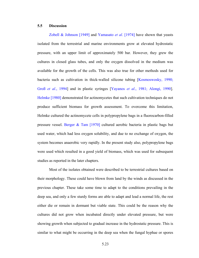### **5.5 Discussion**

Zobell & Johnson [1949] and Yamasato *et al*. [1974] have shown that yeasts isolated from the terrestrial and marine environments grow at elevated hydrostatic pressure, with an upper limit of approximately 500 bar. However, they grew the cultures in closed glass tubes, and only the oxygen dissolved in the medium was available for the growth of the cells. This was also true for other methods used for bacteria such as cultivation in thick-walled silicone tubing [Kosmoswosky, 1990; Groß *et al*., 1994] and in plastic syringes [Yayanos *et al*., 1981; Alongi, 1990]. Helmke [1980] demonstrated for actinomycetes that such cultivation techniques do not produce sufficient biomass for growth assessment. To overcome this limitation, Helmke cultured the actinomycete cells in polypropylene bags in a fluorocarbon-filled pressure vessel. Berger & Tam [1970] cultured aerobic bacteria in plastic bags but used water, which had less oxygen solubility, and due to no exchange of oxygen, the system becomes anaerobic very rapidly. In the present study also, polypropylene bags were used which resulted in a good yield of biomass, which was used for subsequent studies as reported in the later chapters.

Most of the isolates obtained were described to be terrestrial cultures based on their morphology. These could have blown from land by the winds as discussed in the previous chapter. These take some time to adapt to the conditions prevailing in the deep sea, and only a few sturdy forms are able to adapt and lead a normal life, the rest either die or remain in dormant but viable state. This could be the reason why the cultures did not grow when incubated directly under elevated pressure, but were showing growth when subjected to gradual increase in the hydrostatic pressure. This is similar to what might be occurring in the deep sea when the fungal hyphae or spores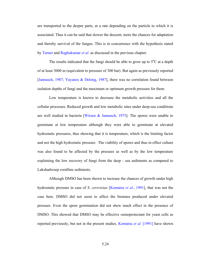are transported to the deeper parts, at a rate depending on the particle to which it is associated. Thus it can be said that slower the descent, more the chances for adaptation and thereby survival of the fungus. This is in concurrence with the hypothesis stated by Turner and Raghukumar *et al*. as discussed in the previous chapter.

The results indicated that the fungi should be able to grow up to  $5^{\circ}$ C at a depth of at least 3000 m (equivalent to pressure of 300 bar). But again as previously reported [Jannasch, 1987; Yayanos & Delong, 1987], there was no correlation found between isolation depths of fungi and the maximum or optimum growth pressure for them.

Low temperature is known to decrease the metabolic activities and all the cellular processes. Reduced growth and low metabolic rates under deep-sea conditions are well studied in bacteria [Wirsen & Jannasch, 1975]. The spores were unable to germinate at low temperature although they were able to germinate at elevated hydrostatic pressures, thus showing that it is temperature, which is the limiting factor and not the high hydrostatic pressure. The viability of spores and thus in effect culture was also found to be affected by the pressure as well as by the low temperature explaining the low recovery of fungi from the deep - sea sediments as compared to Lakshadweep coralline sediments.

Although DMSO has been shown to increase the chances of growth under high hydrostatic pressure in case of *S. cerevisiae* [Komatsu *et al*., 1991], that was not the case here. DMSO did not seem to affect the biomass produced under elevated pressure. Even the spore germination did not show much effect in the presence of DMSO. This showed that DMSO may be effective osmoprotectant for yeast cells as reported previously, but not in the present studies. Komatsu *et al*. [1991] have shown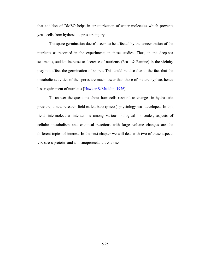that addition of DMSO helps in structurization of water molecules which prevents yeast cells from hydrostatic pressure injury.

The spore germination doesn't seem to be affected by the concentration of the nutrients as recorded in the experiments in these studies. Thus, in the deep-sea sediments, sudden increase or decrease of nutrients (Feast & Famine) in the vicinity may not affect the germination of spores. This could be also due to the fact that the metabolic activities of the spores are much lower than those of mature hyphae, hence less requirement of nutrients [Hawker & Madelin, 1976].

To answer the questions about how cells respond to changes in hydrostatic pressure, a new research field called baro-(piezo-) physiology was developed. In this field, intermolecular interactions among various biological molecules, aspects of cellular metabolism and chemical reactions with large volume changes are the different topics of interest. In the next chapter we will deal with two of these aspects viz. stress proteins and an osmoprotectant, trehalose.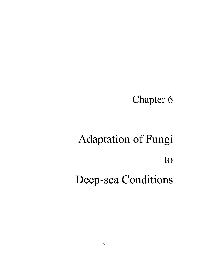# Chapter 6

# Adaptation of Fungi to Deep-sea Conditions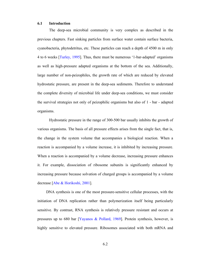### **6.1 Introduction**

The deep-sea microbial community is very complex as described in the previous chapters. Fast sinking particles from surface water contain surface bacteria, cyanobacteria, phytodetritus, etc. These particles can reach a depth of 4500 m in only 4 to 6 weeks [Turley, 1995]. Thus, there must be numerous '1-bar-adapted' organisms as well as high-pressure adapted organisms at the bottom of the sea. Additionally, large number of non-peizophiles, the growth rate of which are reduced by elevated hydrostatic pressure, are present in the deep-sea sediments. Therefore to understand the complete diversity of microbial life under deep-sea conditions, we must consider the survival strategies not only of peizophilic organisms but also of 1 - bar - adapted organisms.

Hydrostatic pressure in the range of 300-500 bar usually inhibits the growth of various organisms. The basis of all pressure effects arises from the single fact, that is, the change in the system volume that accompanies a biological reaction. When a reaction is accompanied by a volume increase, it is inhibited by increasing pressure. When a reaction is accompanied by a volume decrease, increasing pressure enhances it. For example, dissociation of ribosome subunits is significantly enhanced by increasing pressure because solvation of charged groups is accompanied by a volume decrease [Abe & Horikoshi, 2001].

DNA synthesis is one of the most pressure-sensitive cellular processes, with the initiation of DNA replication rather than polymerization itself being particularly sensitive. By contrast, RNA synthesis is relatively pressure resistant and occurs at pressures up to 680 bar [Yayanos & Pollard, 1969]. Protein synthesis, however, is highly sensitive to elevated pressure. Ribosomes associated with both mRNA and

6.2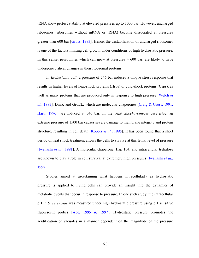tRNA show perfect stability at elevated pressures up to 1000 bar. However, uncharged ribosomes (ribosomes without mRNA or tRNA) become dissociated at pressures greater than 600 bar [Gross, 1993]. Hence, the destabilization of uncharged ribosomes is one of the factors limiting cell growth under conditions of high hydrostatic pressure. In this sense, peizophiles which can grow at pressures  $> 600$  bar, are likely to have undergone critical changes in their ribosomal proteins.

In *Escherichia coli*, a pressure of 546 bar induces a unique stress response that results in higher levels of heat-shock proteins (Hsps) or cold-shock proteins (Csps), as well as many proteins that are produced only in response to high pressure [Welch *et al.*, 1993]. DnaK and GroEL, which are molecular chaperones [Craig & Gross, 1991; Hartl, 1996], are induced at 546 bar. In the yeast *Saccharomyces cerevisiae*, an extreme pressure of 1500 bar causes severe damage to membrane integrity and protein structure, resulting in cell death [Kobori *et al*., 1995]. It has been found that a short period of heat shock treatment allows the cells to survive at this lethal level of pressure [Iwahashi *et al.*, 1991]. A molecular chaperone, Hsp 104, and intracellular trehalose are known to play a role in cell survival at extremely high pressures [Iwahashi *et al.*, 1997].

Studies aimed at ascertaining what happens intracellularly as hydrostatic pressure is applied to living cells can provide an insight into the dynamics of metabolic events that occur in response to pressure. In one such study, the intracellular pH in *S. cerevisiae* was measured under high hydrostatic pressure using pH sensitive fluorescent probes [Abe, 1995 & 1997]. Hydrostatic pressure promotes the acidification of vacuoles in a manner dependent on the magnitude of the pressure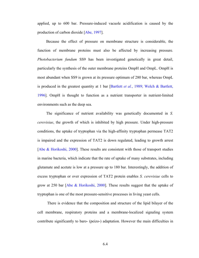applied, up to 600 bar. Pressure-induced vacuole acidification is caused by the production of carbon dioxide [Abe, 1997].

Because the effect of pressure on membrane structure is considerable, the function of membrane proteins must also be affected by increasing pressure. *Photobacterium fundum* SS9 has been investigated genetically in great detail, particularly the synthesis of the outer membrane proteins OmpH and OmpL. OmpH is most abundant when SS9 is grown at its pressure optimum of 280 bar, whereas OmpL is produced in the greatest quantity at 1 bar [Bartlett *et al.*, 1989; Welch & Bartlett, 1996]. OmpH is thought to function as a nutrient transporter in nutrient-limited environments such as the deep sea.

The significance of nutrient availability was genetically documented in *S. cerevisiae*, the growth of which is inhibited by high pressure. Under high-pressure conditions, the uptake of tryptophan via the high-affinity tryptophan permease TAT2 is impaired and the expression of TAT2 is down regulated, leading to growth arrest [Abe & Horikoshi, 2000]. These results are consistent with those of transport studies in marine bacteria, which indicate that the rate of uptake of many substrates, including glutamate and acetate is low at a pressure up to 180 bar. Interestingly, the addition of excess tryptophan or over expression of TAT2 protein enables *S. cerevisiae* cells to grow at 250 bar [Abe & Horikoshi, 2000]. These results suggest that the uptake of tryptophan is one of the most pressure-sensitive processes in living yeast cells.

 There is evidence that the composition and structure of the lipid bilayer of the cell membrane, respiratory proteins and a membrane-localized signaling system contribute significantly to baro- (peizo-) adaptation. However the main difficulties in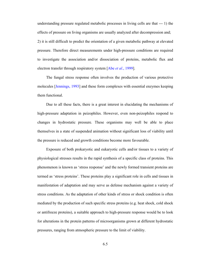understanding pressure regulated metabolic processes in living cells are that --- 1) the effects of pressure on living organisms are usually analyzed after decompression and; 2) it is still difficult to predict the orientation of a given metabolic pathway at elevated pressure. Therefore direct measurements under high-pressure conditions are required to investigate the association and/or dissociation of proteins, metabolic flux and electron transfer through respiratory system [Abe *et al*., 1999].

The fungal stress response often involves the production of various protective molecules [Jennings, 1993] and these form complexes with essential enzymes keeping them functional.

Due to all these facts, there is a great interest in elucidating the mechanisms of high-pressure adaptation in peizophiles. However, even non-peizophiles respond to changes in hydrostatic pressure. These organisms may well be able to place themselves in a state of suspended animation without significant loss of viability until the pressure is reduced and growth conditions become more favourable.

Exposure of both prokaryotic and eukaryotic cells and/or tissues to a variety of physiological stresses results in the rapid synthesis of a specific class of proteins. This phenomenon is known as 'stress response' and the newly formed transient proteins are termed as 'stress proteins'. These proteins play a significant role in cells and tissues in manifestation of adaptation and may serve as defense mechanism against a variety of stress conditions. As the adaptation of other kinds of stress or shock condition is often mediated by the production of such specific stress proteins (e.g. heat shock, cold shock or antifreeze proteins), a suitable approach to high-pressure response would be to look for alterations in the protein patterns of microorganisms grown at different hydrostatic pressures, ranging from atmospheric pressure to the limit of viability.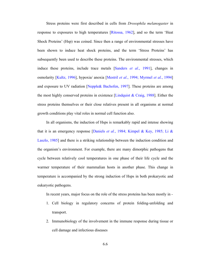Stress proteins were first described in cells from *Drosophila melanogaster* in response to exposures to high temperatures [Ritossa, 1962], and so the term 'Heat Shock Proteins' (Hsp) was coined. Since then a range of environmental stresses have been shown to induce heat shock proteins, and the term 'Stress Proteins' has subsequently been used to describe these proteins. The environmental stresses, which induce these proteins, include trace metals [Sanders *et al*., 1991], changes in osmolarity [Kultz, 1996], hypoxia/ anoxia [Mestril *et al.*, 1994; Myrmel *et al.*, 1994] and exposure to UV radiation [Nepple& Bachofen, 1997]. These proteins are among the most highly conserved proteins in existence [Lindquist & Craig, 1988]. Either the stress proteins themselves or their close relatives present in all organisms at normal growth conditions play vital roles in normal cell function also.

In all organisms, the induction of Hsps is remarkably rapid and intense showing that it is an emergency response [Daniels *et al.*, 1984; Kimpel & Key, 1985; Li & Laszlo, 1985] and there is a striking relationship between the induction condition and the organism's environment. For example, there are many dimorphic pathogens that cycle between relatively cool temperatures in one phase of their life cycle and the warmer temperature of their mammalian hosts in another phase. This change in temperature is accompanied by the strong induction of Hsps in both prokaryotic and eukaryotic pathogens.

In recent years, major focus on the role of the stress proteins has been mostly in -

- 1. Cell biology in regulatory concerns of protein folding-unfolding and transport.
- 2. Immunobiology of the involvement in the immune response during tissue or cell damage and infectious diseases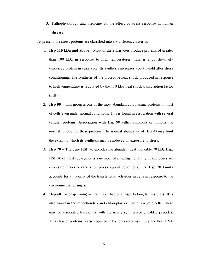3. Pathophysiology and medicine on the effect of stress response in human disease.

At present, the stress proteins are classified into six different classes as –

- 1. **Hsp 110 kDa and above** Most of the eukaryotes produce proteins of greater than 100 kDa in response to high temperatures. This is a constitutively expressed protein in eukaryote. Its synthesis increases about 5-fold after stress conditioning. The synthesis of the protective heat shock produced in response to high temperature is regulated by the 110 kDa heat shock transcription factor (hstf).
- 2. **Hsp 90** This group is one of the most abundant cytoplasmic proteins in most of cells even under normal conditions. This is found in association with several cellular proteins. Association with Hsp 90 either enhances or inhibits the normal function of these proteins. The normal abundance of Hsp 90 may limit the extent to which its synthesis may be induced on exposure to stress.
- 3. **Hsp 70** The gene HSP 70 encodes the abundant heat inducible 70 kDa Hsp. HSP 70 of most eucaryotes is a member of a multigene family whose genes are expressed under a variety of physiological conditions. The Hsp 70 family accounts for a majority of the translational activities in cells in response to the environmental changes.
- 4. **Hsp 60** (or chaperonin) The major bacterial hsps belong to this class. It is also found in the mitochondria and chloroplasts of the eukaryotic cells. These may be associated transiently with the newly synthesized unfolded peptides. This class of proteins is also required in bacteriophage assembly and host DNA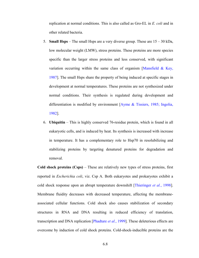replication at normal conditions. This is also called as Gro-EL in *E. coli* and in other related bacteria.

- 5. **Small Hsps** The small Hsps are a very diverse group. These are 15 30 kDa, low molecular weight (LMW), stress proteins. These proteins are more species specific than the larger stress proteins and less conserved, with significant variation occurring within the same class of organism [Mansfield  $\&$  Key, 1987]. The small Hsps share the property of being induced at specific stages in development at normal temperatures. These proteins are not synthesized under normal conditions. Their synthesis is regulated during development and differentiation is modified by environment [Ayme & Tissiers, 1985; Ingolia, 1982].
- 6. **Ubiquitin** This is highly conserved 76-residue protein, which is found in all eukaryotic cells, and is induced by heat. Its synthesis is increased with increase in temperature. It has a complementary role to Hsp70 in resolubilizing and stabilizing proteins by targeting denatured proteins for degradation and removal.

**Cold shock proteins (Csps)** – These are relatively new types of stress proteins, first reported in *Escherichia coli*, viz. Csp A. Both eukaryotes and prokaryotes exhibit a cold shock response upon an abrupt temperature downshift [Thieringer *et al.*, 1998]. Membrane fluidity decreases with decreased temperature, affecting the membraneassociated cellular functions. Cold shock also causes stabilization of secondary structures in RNA and DNA resulting in reduced efficiency of translation, transcription and DNA replication [Phadtare *et al.*, 1999]. These deleterious effects are overcome by induction of cold shock proteins. Cold-shock-inducible proteins are the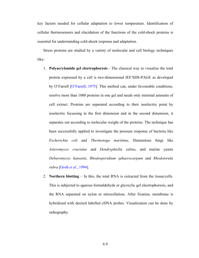key factors needed for cellular adaptation to lower temperature. Identification of cellular thermosensors and elucidation of the functions of the cold-shock proteins is essential for understanding cold-shock response and adaptation.

Stress proteins are studied by a variety of molecular and cell biology techniques like-

- 1. **Polyacrylamide gel electrophoresis** The classical way to visualize the total protein expressed by a cell is two-dimensional IEF/SDS-PAGE as developed by O'Farrell [O'Farrell, 1975]. This method can, under favourable conditions, resolve more than 1000 proteins in one gel and needs only minimal amounts of cell extract. Proteins are separated according to their isoelectric point by isoelectric focussing in the first dimension and in the second dimension, it separates out according to molecular weight of the proteins. The technique has been successfully applied to investigate the pressure response of bacteria like *Escherichia coli* and *Thermotoga maritima*, filamentous fungi like *Asteromyces cruciatus* and *Dendryphiella salina*, and marine yeasts *Debaromyces hansenii*, *Rhodosporidium sphaerocarpum* and *Rhodotorula rubra* [Groß *et al*., 1994].
- 2. **Northern blotting** In this, the total RNA is extracted from the tissue/cells. This is subjected to agarose-formaldehyde or glyoxylic gel electrophoresis, and the RNA separated on nylon or nitrocellulose. After fixation, membrane is hybridized with desired labelled cDNA probes. Visualization can be done by radiography.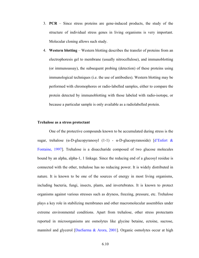3. **PCR** – Since stress proteins are gene-induced products, the study of the structure of individual stress genes in living organisms is very important. Molecular cloning allows such study.

4. **Western blotting** – Western blotting describes the transfer of proteins from an electrophoresis gel to membrane (usually nitrocellulose), and immunoblotting (or immunoassay), the subsequent probing (detection) of these proteins using immunological techniques (i.e. the use of antibodies). Western blotting may be performed with chromophores or radio-labelled samples, either to compare the protein detected by immunoblotting with those labeled with radio-isotope, or because a particular sample is only available as a radiolabelled protein.

### **Trehalose as a stress protectant**

One of the protective compounds known to be accumulated during stress is the sugar, trehalose (α-D-glucopyranosyl (1-1) - α-D-glucopyranoside)  $\frac{d^2\text{Enfert } \&}{}$ Fontaine, 1997]. Trehalose is a disaccharide composed of two glucose molecules bound by an alpha, alpha-1, 1 linkage. Since the reducing end of a glucosyl residue is connected with the other, trehalose has no reducing power. It is widely distributed in nature. It is known to be one of the sources of energy in most living organisms, including bacteria, fungi, insects, plants, and invertebrates. It is known to protect organisms against various stresses such as dryness, freezing, pressure, etc. Trehalose plays a key role in stabilizing membranes and other macromolecular assemblies under extreme environmental conditions. Apart from trehalose, other stress protectants reported in microorganisms are osmolytes like glycine betaine, ectoine, sucrose, mannitol and glycerol [DasSarma & Arora, 2001]. Organic osmolytes occur at high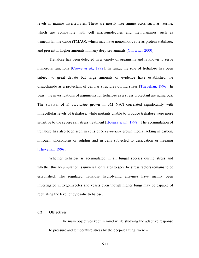levels in marine invertebrates. These are mostly free amino acids such as taurine, which are compatible with cell macromolecules and methylamines such as trimethylamine oxide (TMAO), which may have nonosmotic role as protein stabilizer, and present in higher amounts in many deep sea animals [Yin *et al*., 2000]

Trehalose has been detected in a variety of organisms and is known to serve numerous functions [Crowe *et al*., 1992]. In fungi, the role of trehalose has been subject to great debate but large amounts of evidence have established the disaccharide as a protectant of cellular structures during stress [Thevelian, 1996]. In yeast, the investigations of arguments for trehalose as a stress protectant are numerous. The survival of *S. cerevisiae* grown in 3M NaCl correlated significantly with intracellular levels of trehalose, while mutants unable to produce trehalose were more sensitive to the severe salt stress treatment [Hounsa *et al.*, 1998]. The accumulation of trehalose has also been seen in cells of *S. cerevisiae* grown media lacking in carbon, nitrogen, phosphorus or sulphur and in cells subjected to desiccation or freezing [Thevelian, 1996].

Whether trehalose is accumulated in all fungal species during stress and whether this accumulation is universal or relates to specific stress factors remains to be established. The regulated trehalose hydrolyzing enzymes have mainly been investigated in zygomycetes and yeasts even though higher fungi may be capable of regulating the level of cytosolic trehalose.

### **6.2 Objectives**

The main objectives kept in mind while studying the adaptive response to pressure and temperature stress by the deep-sea fungi were –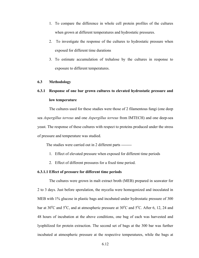- 1. To compare the difference in whole cell protein profiles of the cultures when grown at different temperatures and hydrostatic pressures.
- 2. To investigate the response of the cultures to hydrostatic pressure when exposed for different time durations
- 3. To estimate accumulation of trehalose by the cultures in response to exposure to different temperatures.

### **6.3 Methodology**

# **6.3.1 Response of one bar grown cultures to elevated hydrostatic pressure and low temperature**

The cultures used for these studies were those of 2 filamentous fungi (one deep sea *Aspergillus terreus* and one *Aspergillus terreus* from IMTECH) and one deep-sea yeast. The response of these cultures with respect to proteins produced under the stress of pressure and temperature was studied.

The studies were carried out in 2 different parts --------

- 1. Effect of elevated pressure when exposed for different time periods
- 2. Effect of different pressures for a fixed time period.

### **6.3.1.1 Effect of pressure for different time periods**

The cultures were grown in malt extract broth (MEB) prepared in seawater for 2 to 3 days. Just before sporulation, the mycelia were homogenized and inoculated in MEB with 1% glucose in plastic bags and incubated under hydrostatic pressure of 300 bar at  $30^{\circ}$ C and  $5^{\circ}$ C, and at atmospheric pressure at  $30^{\circ}$ C and  $5^{\circ}$ C. After 6, 12, 24 and 48 hours of incubation at the above conditions, one bag of each was harvested and lyophilized for protein extraction. The second set of bags at the 300 bar was further incubated at atmospheric pressure at the respective temperatures, while the bags at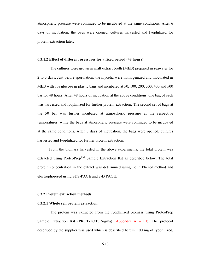atmospheric pressure were continued to be incubated at the same conditions. After 6 days of incubation, the bags were opened, cultures harvested and lyophilized for protein extraction later.

### **6.3.1.2 Effect of different pressures for a fixed period (48 hours)**

 The cultures were grown in malt extract broth (MEB) prepared in seawater for 2 to 3 days. Just before sporulation, the mycelia were homogenized and inoculated in MEB with 1% glucose in plastic bags and incubated at 50, 100, 200, 300, 400 and 500 bar for 48 hours. After 48 hours of incubation at the above conditions, one bag of each was harvested and lyophilized for further protein extraction. The second set of bags at the 50 bar was further incubated at atmospheric pressure at the respective temperatures, while the bags at atmospheric pressure were continued to be incubated at the same conditions. After 6 days of incubation, the bags were opened, cultures harvested and lyophilized for further protein extraction.

From the biomass harvested in the above experiments, the total protein was extracted using ProteoPrep<sup>TM</sup> Sample Extraction Kit as described below. The total protein concentration in the extract was determined using Folin Phenol method and electrophoresed using SDS-PAGE and 2-D PAGE.

### **6.3.2 Protein extraction methods**

### **6.3.2.1 Whole cell protein extraction**

 The protein was extracted from the lyophilized biomass using ProteoPrep Sample Extraction Kit (PROT-TOT, Sigma) (Appendix  $A - III$ ). The protocol described by the supplier was used which is described herein. 100 mg of lyophilized,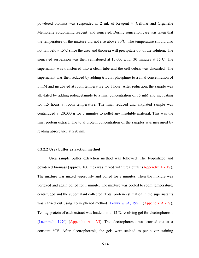powdered biomass was suspended in 2 mL of Reagent 4 (Cellular and Organelle Membrane Solubilizing reagent) and sonicated. During sonication care was taken that the temperature of the mixture did not rise above 30°C. The temperature should also not fall below 15<sup>o</sup>C since the urea and thiourea will precipitate out of the solution. The sonicated suspension was then centrifuged at  $15,000$  g for 30 minutes at  $15^{\circ}$ C. The supernatant was transferred into a clean tube and the cell debris was discarded. The supernatant was then reduced by adding tributyl phosphine to a final concentration of 5 mM and incubated at room temperature for 1 hour. After reduction, the sample was alkylated by adding iodoacetamide to a final concentration of 15 mM and incubating for 1.5 hours at room temperature. The final reduced and alkylated sample was centrifuged at 20,000 g for 5 minutes to pellet any insoluble material. This was the final protein extract. The total protein concentration of the samples was measured by reading absorbance at 280 nm.

### **6.3.2.2 Urea buffer extraction method**

Urea sample buffer extraction method was followed. The lyophilized and powdered biomass (approx. 100 mg) was mixed with urea buffer (Appendix A - IV). The mixture was mixed vigorously and boiled for 2 minutes. Then the mixture was vortexed and again boiled for 1 minute. The mixture was cooled to room temperature, centrifuged and the supernatant collected. Total protein estimation in the supernatants was carried out using Folin phenol method [Lowry *et al.*, 1951] (Appendix A - V). Ten µg protein of each extract was loaded on to 12 % resolving gel for electrophoresis [Laemmeli, 1970] (Appendix A - VI). The electrophoresis was carried out at a constant 60V. After electrophoresis, the gels were stained as per silver staining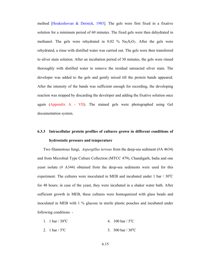method [Heukeshovan & Dernick, 1985]. The gels were first fixed in a fixative solution for a minimum period of 60 minutes. The fixed gels were then dehydrated in methanol. The gels were rehydrated in  $0.02\%$  Na<sub>2</sub>S<sub>2</sub>O<sub>3</sub>. After the gels were rehydrated, a rinse with distilled water was carried out. The gels were then transferred to silver stain solution. After an incubation period of 30 minutes, the gels were rinsed thoroughly with distilled water to remove the residual unreacted silver stain. The developer was added to the gels and gently mixed till the protein bands appeared. After the intensity of the bands was sufficient enough for recording, the developing reaction was stopped by discarding the developer and adding the fixative solution once again (Appendix A - VII). The stained gels were photographed using Gel documentation system.

# **6.3.3 Intracellular protein profiles of cultures grown in different conditions of hydrostatic pressure and temperature**

Two filamentous fungi, *Aspergillus terreus* from the deep-sea sediment (#A 4634) and from Microbial Type Culture Collection (MTCC 479), Chandigarh, India and one yeast isolate (# A344) obtained from the deep-sea sediments were used for this experiment. The cultures were inoculated in MEB and incubated under  $1 \text{ bar} / 30^{\circ}\text{C}$ for 48 hours; in case of the yeast, they were incubated in a shaker water bath. After sufficient growth in MEB, these cultures were homogenized with glass beads and inoculated in MEB with 1 % glucose in sterile plastic pouches and incubated under following conditions -

| 1. 1 bar / $30^{\circ}$ C | 4. 100 bar / $5^{\circ}$ C  |
|---------------------------|-----------------------------|
| 2. 1 bar / $5^{\circ}$ C  | 5. 500 bar / $30^{\circ}$ C |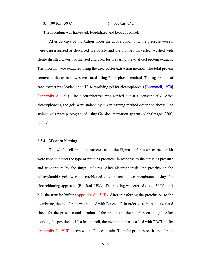#### 3. 100 bar /  $30^{\circ}$ C C 6. 500 bar /  $5^{\circ}$ C

The inoculum was harvested, lyophilized and kept as control.

After 20 days of incubation under the above conditions, the pressure vessels were depressurized as described previously and the biomass harvested, washed with sterile distilled water, lyophilized and used for preparing the total cell protein extracts. The proteins were extracted using the urea buffer extraction method. The total protein content in the extracts was measured using Folin phenol method. Ten µg protein of each extract was loaded on to 12 % resolving gel for electrophoresis [Laemmeli, 1970] (Appendix A - VI). The electrophoresis was carried out at a constant 60V. After electrophoresis, the gels were stained by silver staining method described above. The stained gels were photographed using Gel documentation system (AlphaImager 2200, U.S.A).

### **6.3.4 Western blotting**

The whole cell proteins extracted using the Sigma total protein extraction kit were used to detect the type of proteins produced in response to the stress of pressure and temperature by the fungal cultures. After electrophoresis, the proteins on the polacrylamide gels were electroblotted onto nitrocellulose membranes using the electroblotting apparatus (Bio-Rad, USA). The blotting was carried out at 500V for 3 h in the transfer buffer (Appendix A - VIII). After transferring the proteins on to the membrane, the membrane was stained with Ponceau R in order to stain the marker and check for the presence and location of the proteins in the samples on the gel. After marking the positions with a lead pencil, the membrane was washed with TBST buffer (Appendix A - VIII) to remove the Ponceau stain. Then the proteins on the membrane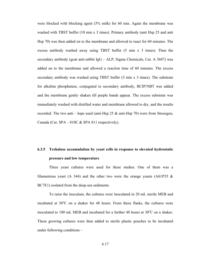were blocked with blocking agent (5% milk) for 60 min. Again the membrane was washed with TBST buffer (10 min x 3 times). Primary antibody (anti Hsp 25 and anti Hsp 70) was then added on to the membrane and allowed to react for 60 minutes. The excess antibody washed away using TBST buffer (5 min x 3 times). Then the secondary antibody (goat anti-rabbit IgG – ALP, Sigma Chemicals, Cat. A 3687) was added on to the membrane and allowed a reaction time of 60 minutes. The excess secondary antibody was washed using TBST buffer (5 min x 3 times). The substrate for alkaline phosphatase, conjugated to secondary antibody, BCIP/NBT was added and the membrane gently shaken till purple bands appear. The excess substrate was immediately washed with distilled water and membrane allowed to dry, and the results recorded. The two anti – hsps used (anti-Hsp 25 & anti-Hsp 70) were from Stressgen, Canada (Cat. SPA – 810C & SPA 811 respectively).

# **6.3.5 Trehalose accumulation by yeast cells in response to elevated hydrostatic pressure and low temperature**

Three yeast cultures were used for these studies. One of them was a filamentous yeast (A 344) and the other two were the orange yeasts (A61P35  $\&$ BC7E1) isolated from the deep-sea sediments.

To raise the inoculum, the cultures were inoculated in 20 mL sterile MEB and incubated at  $30^{\circ}$ C on a shaker for 48 hours. From these flasks, the cultures were inoculated to 100 mL MEB and incubated for a further 48 hours at  $30^{\circ}$ C on a shaker. These growing cultures were then added to sterile plastic pouches to be incubated under following conditions –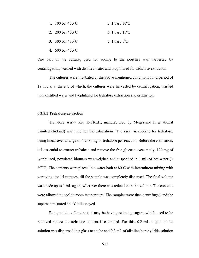| 5. 1 bar / $30^{\circ}$ C<br>1. 100 bar / $30^{\circ}$ C |  |
|----------------------------------------------------------|--|
|----------------------------------------------------------|--|

- 2. 200 bar /  $30^{\circ}$ C C 6. 1 bar /  $15^{\circ}$ C
- 3.  $300 \text{ bar} / 30^{\circ}\text{C}$ C 7. 1 bar /  $5^{\circ}$ C
- 4.  $500 \text{ bar} / 30^{\circ} \text{C}$

One part of the culture, used for adding to the pouches was harvested by centrifugation, washed with distilled water and lyophilized for trehalose extraction.

The cultures were incubated at the above-mentioned conditions for a period of 18 hours, at the end of which, the cultures were harvested by centrifugation, washed with distilled water and lyophilized for trehalose extraction and estimation.

### **6.3.5.1 Trehalose extraction**

Trehalose Assay Kit, K-TREH, manufactured by Megazyme International Limited (Ireland) was used for the estimations. The assay is specific for trehalose, being linear over a range of 4 to 80 µg of trehalose per reaction. Before the estimation, it is essential to extract trehalose and remove the free glucose. Accurately, 100 mg of lyophilized, powdered biomass was weighed and suspended in 1 mL of hot water (~ 80°C). The contents were placed in a water bath at 80°C with intermittent mixing with vortexing, for 15 minutes, till the sample was completely dispersed. The final volume was made up to 1 mL again, wherever there was reduction in the volume. The contents were allowed to cool to room temperature. The samples were then centrifuged and the supernatant stored at 4°C till assayed.

Being a total cell extract, it may be having reducing sugars, which need to be removed before the trehalose content is estimated. For this, 0.2 mL aliquot of the solution was dispensed in a glass test tube and 0.2 mL of alkaline borohydride solution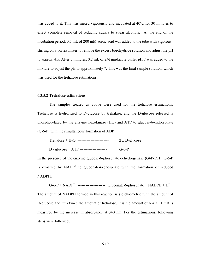was added to it. This was mixed vigorously and incubated at  $40^{\circ}$ C for 30 minutes to effect complete removal of reducing sugars to sugar alcohols. At the end of the incubation period, 0.5 mL of 200 mM acetic acid was added to the tube with vigorous stirring on a vortex mixer to remove the excess borohydride solution and adjust the pH to approx. 4.5. After 5 minutes, 0.2 mL of 2M imidazole buffer pH 7 was added to the mixture to adjust the pH to approximately 7. This was the final sample solution, which was used for the trehalose estimations.

### **6.3.5.2 Trehalose estimations**

The samples treated as above were used for the trehalose estimations. Trehalose is hydrolyzed to D-glucose by trehalase, and the D-glucose released is phosphorylated by the enzyme hexokinase (HK) and ATP to glucose-6-diphosphate (G-6-P) with the simultaneous formation of ADP

| Trehalose + $H_2O$ ------------------------ | $2 \times D$ -glucose |
|---------------------------------------------|-----------------------|
|                                             |                       |

D - glucose + ATP --------------------- G-6-P

In the presence of the enzyme glucose-6-phosphate dehydrogenase (G6P-DH), G-6-P is oxidized by  $NADP<sup>+</sup>$  to gluconate-6-phosphate with the formation of reduced NADPH.

 $G$ -6-P + NADP<sup>+</sup> -------------------------- Gluconate-6-phosphate + NADPH + H<sup>+</sup>

The amount of NADPH formed in this reaction is stoichiometric with the amount of D-glucose and thus twice the amount of trehalose. It is the amount of NADPH that is measured by the increase in absorbance at 340 nm. For the estimations, following steps were followed,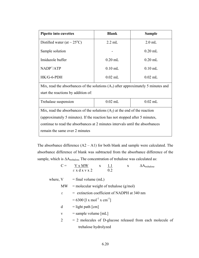| <b>Pipette into cuvettes</b>                                                        | <b>Blank</b> | <b>Sample</b> |  |  |  |
|-------------------------------------------------------------------------------------|--------------|---------------|--|--|--|
| Distilled water (at $\sim$ 25 <sup>o</sup> C)                                       | $2.2$ mL     | $2.0$ mL      |  |  |  |
| Sample solution                                                                     |              | $0.20$ mL     |  |  |  |
| Imidazole buffer                                                                    | $0.20$ mL    | $0.20$ mL     |  |  |  |
| $NADP^{\dagger}/ATP$                                                                | $0.10$ mL    | $0.10$ mL     |  |  |  |
| $HK/G-6-PDH$                                                                        | $0.02$ mL    | $0.02$ mL     |  |  |  |
| Mix, read the absorbances of the solutions $(A1)$ after approximately 5 minutes and |              |               |  |  |  |
|                                                                                     |              |               |  |  |  |

start the reactions by addition of:

| Trehalase suspension                                                          | $0.02$ mL | $0.02$ mL |  |  |
|-------------------------------------------------------------------------------|-----------|-----------|--|--|
| Mix, read the absorbances of the solutions $(A_2)$ at the end of the reaction |           |           |  |  |
| (approximately 5 minutes). If the reaction has not stopped after 5 minutes,   |           |           |  |  |
| continue to read the absorbances at 2 minutes intervals until the absorbances |           |           |  |  |
| remain the same over 2 minutes                                                |           |           |  |  |

The absorbance difference  $(A2 - A1)$  for both blank and sample were calculated. The absorbance difference of blank was subtracted from the absorbance difference of the sample, which is ∆A<sub>trehalose</sub>. The concentration of trehalose was calculated as:

| $C =$        | V x MW<br><u>1.1</u><br>$\mathbf{X}$<br>$\Delta A$ <sub>trehalose</sub><br>$\mathbf{X}$<br>$\epsilon$ x d x v x 2<br>0.2 |
|--------------|--------------------------------------------------------------------------------------------------------------------------|
|              | where, $V = \text{final volume (mL)}$                                                                                    |
| MW.          | $=$ molecular weight of trehalose (g/mol)                                                                                |
| ε            | $=$ extinction coefficient of NADPH at 340 nm                                                                            |
|              | $= 6300$ [1 x mol <sup>-1</sup> x cm <sup>-1</sup> ]                                                                     |
| d            | $=$ light path $\lceil$ cm $\rceil$                                                                                      |
| $\mathbf{V}$ | $=$ sample volume [mL]                                                                                                   |
| 2            | $= 2$ molecules of D-glucose released from each molecule of                                                              |
|              | trehalose hydrolyzed                                                                                                     |
|              |                                                                                                                          |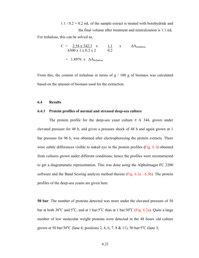$1.1 / 0.2 = 0.2$  mL of the sample extract is treated with borohydride and the final volume after treatment and neutralization is 1.1 mL For trehalose, this can be solved as,

> $C = 2.54 \times 342.3 \times 1.1 \times \Delta A$ trehalose 6300 x 1 x 0.2 x 2 0.2  $= 1.8976$  x  $\Delta A_{\text{trehalose}}$

From this, the content of trehalose in terms of  $g / 100 g$  of biomass was calculated based on the amount of biomass used for the extraction.

### **6.4 Results**

### **6.4.1 Protein profiles of normal and stressed deep-sea culture**

The protein profile for the deep-sea yeast culture  $# A$  344, grown under elevated pressure for 48 h, and given a pressure shock of 48 h and again grown at 1 bar pressure for 96 h, was obtained after electrophoresing the protein extracts. There were subtle differences visible to naked eye in the protein profiles **(**Fig. 6.1**)** obtained from cultures grown under different conditions; hence the profiles were reconstructed to get a diagrammatic representation. This was done using the AlphaImager FC 2200 software and the Band Scoring analysis method therein (Fig. 6.2a - 6.5b). The protein profiles of the deep-sea yeasts are given here.

**50 bar**: The number of proteins detected was more under the elevated pressure of 50 bar at both 30 $^{\circ}$ C and 5 $^{\circ}$ C, and at 1 bar/5 $^{\circ}$ C than at 1 bar/30 $^{\circ}$ C (Fig. 6.2a). Quite a large number of low molecular weight proteins were detected in the 48 hours old culture grown at 50 bar/30 $^{\circ}$ C (lane 4; positions 2, 4, 6, 7, 8 & 11), 50 bar/5 $^{\circ}$ C (lane 3;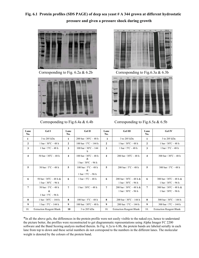**Fig. 6.1 Protein profiles (SDS PAGE) of deep sea yeast # A 344 grown at different hydrostatic pressure and given a pressure shock during growth** 







Corresponding to Fig. 6.2a & 6.2b Corresponding to Fig. 6.3a & 6.3b



Corresponding to Fig.6.4a  $& 6.4b$  Corresponding to Fig.6.5a  $& 6.5b$ 

| Lane<br>No.             | <b>Gel I</b>                                                                            | Lane<br>No.      | Gel II                                                                  | Lane<br>No.             | Gel III                                                                                  | Lane<br>No.             | <b>Gel IV</b>                                                                            |
|-------------------------|-----------------------------------------------------------------------------------------|------------------|-------------------------------------------------------------------------|-------------------------|------------------------------------------------------------------------------------------|-------------------------|------------------------------------------------------------------------------------------|
| 1                       | 3 to 205 kDa                                                                            | 1                | 200 bar / $30^{\circ}$ C – 48 h                                         | 1                       | 3 to 205 kDa                                                                             | 1                       | 3 to 205 kDa                                                                             |
| $\mathbf{2}$            | 1 bar / $30^{\circ}$ C – 48 h                                                           | $\overline{2}$   | 100 bar / $5^{\circ}$ C - 144 h                                         | $\overline{2}$          | 1 bar / $30^{\circ}$ C – 48 h                                                            | $\overline{2}$          | 1 bar / $30^{\circ}$ C – 48 h                                                            |
| 3                       | 1 bar / $5^{\circ}$ C - 48 h                                                            | 3                | 100 bar / $30^{\circ}$ C - 144<br>h                                     | 3                       | 1 bar / $5^{\circ}$ C $-$ 48 h                                                           | 3                       | 1 bar / $5^{\circ}$ C - 48 h                                                             |
| $\overline{\mathbf{4}}$ | 50 bar / $30^{\circ}$ C - 48 h                                                          | 4                | 100 bar / $30^{\circ}$ C $-$ 48 h<br>&<br>1 bar / $30^{\circ}$ C - 96 h | $\overline{\mathbf{4}}$ | 200 bar / $30^{\circ}$ C - 48 h                                                          | $\overline{\mathbf{4}}$ | 300 bar / $30^{\circ}$ C - 48 h                                                          |
| 5                       | 50 bar / $5^{\circ}$ C - 48 h                                                           | 5                | 100 bar / $5^{\circ}$ C - 48 h<br>&<br>1 bar / $5^{\circ}$ C - 96 h     | 5                       | 200 bar / $5^{\circ}$ C - 48 h                                                           | 5                       | 300 bar / $5^{\circ}$ C - 48 h                                                           |
| 6                       | 50 bar / $30^{\circ}$ C – 48 h &<br>$1 \text{ bar} / 30^{\circ}\text{C} - 96 \text{ h}$ | 6                | 1 bar / $5^{\circ}$ C - 48 h                                            | 6                       | 200 bar / $30^{\circ}$ C – 48 h &<br>$1 \text{ bar} / 30^{\circ}\text{C} - 96 \text{ h}$ | 6                       | 300 bar / $30^{\circ}$ C – 48 h &<br>$1 \text{ bar} / 30^{\circ}\text{C} - 96 \text{ h}$ |
| $\overline{7}$          | 50 bar / $5^{\circ}$ C - 48 h<br>$\&$<br>1 bar / $5^{\circ}$ C - 96 h                   | 7                | 1 bar / $30^{\circ}$ C - 48 h                                           | $\overline{7}$          | 200 bar / $30^{\circ}$ C – 48 h &<br>1 bar / $30^{\circ}$ C - 96 h                       | $\overline{7}$          | 300 bar / $30^{\circ}$ C - 48 h &<br>1 bar / $30^{\circ}$ C - 96 h                       |
| 8                       | 1 bar / $30^{\circ}$ C - 144 h                                                          | 8                | 100 bar / $5^{\circ}$ C – 48 h                                          | 8                       | 200 bar / $30^{\circ}$ C - 144 h                                                         | 8                       | 300 bar / $30^{\circ}$ C - 144 h                                                         |
| 9                       | 1 bar / $5^{\circ}$ C - 144 h                                                           | $\boldsymbol{9}$ | 100 bar / $30^{\circ}$ C - 48 h                                         | 9                       | 200 bar / $5^{\circ}$ C - 144 h                                                          | $\boldsymbol{9}$        | 300 bar / $5^{\circ}$ C - 144 h                                                          |
| 10.                     | <b>Extraction Reagent Blank</b>                                                         | 10               | 3 to 205 kDa                                                            | 10.                     | <b>Extraction Reagent Blank</b>                                                          | 10.                     | <b>Extraction Reagent Blank</b>                                                          |

\*In all the above gels, the differences in the protein profile were not easily visible to the naked eye, hence to understand the picture better, the profiles were reconstructed to get diagrammatic representations using Alpha Imager FC 2200 software and the Band Scoring analysis method therein. In Fig. 6.2a to 6.8b, the protein bands are labeled serially in each lane from top to down and these serial numbers do not correspond to the numbers in the different lanes. The molecular weight is denoted by the colours of the protein band.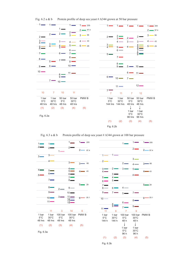

Fig. 6.2 a & b Protein profile of deep sea yeast # A344 grown at 50 bar pressure

Fig. 6.3 a & b Protein profile of deep sea yeast # A344 grown at 100 bar pressure



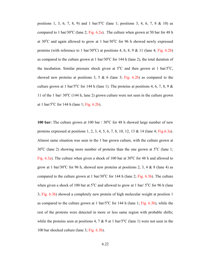positions 1, 3, 6, 7, 8, 9) and 1 bar/ $5^{\circ}$ C (lane 1; positions 3, 4, 6, 7, 8 & 10) as compared to 1 bar/30 $\rm{^oC}$  (lane 2; Fig. 6.2a). The culture when grown at 50 bar for 48 h at  $30^{\circ}$ C and again allowed to grow at 1 bar/ $30^{\circ}$ C for 96 h showed newly expressed proteins (with reference to 1 bar/30 $^{\circ}$ C) at positions 4, 6, 8, 9 & 11 (lane 4; Fig. 6.2b) as compared to the culture grown at 1 bar/ $30^{\circ}$ C for 144 h (lane 2), the total duration of the incubation. Similar pressure shock given at  $5^{\circ}$ C and then grown at 1 bar/ $5^{\circ}$ C, showed new proteins at positions 3, 5 & 6 (lane 3; Fig. 6.2b) as compared to the culture grown at 1 bar/5<sup>o</sup>C for 144 h (lane 1). The proteins at positions 4, 6, 7, 8, 9  $\&$ 11 of the 1 bar/  $30^{\circ}$ C (144 h, lane 2) grown culture were not seen in the culture grown at 1 bar/ $5^{\circ}$ C for 144 h (lane 1; Fig. 6.2b).

100 bar: The culture grown at 100 bar / 30°C for 48 h showed large number of new proteins expressed at positions 1, 2, 3, 4, 5, 6, 7, 8, 10, 12, 13 & 14 (lane 4; Fig.6.3a). Almost same situation was seen in the 1 bar grown culture, with the culture grown at  $30^{\circ}$ C (lane 2) showing more number of proteins than the one grown at  $5^{\circ}$ C (lane 1; Fig.  $6.3a$ ). The culture when given a shock of 100 bar at  $30^{\circ}$ C for 48 h and allowed to grow at 1 bar/30 $^{\circ}$ C for 96 h, showed new proteins at positions 2, 3, 4 & 8 (lane 4) as compared to the culture grown at 1 bar/ $30^{\circ}$ C for 144 h (lane 2; Fig. 6.3b). The culture when given a shock of 100 bar at  $5^{\circ}$ C and allowed to grow at 1 bar/  $5^{\circ}$ C for 96 h (lane 3; Fig. 6.3b) showed a completely new protein of high molecular weight at position 1 as compared to the culture grown at 1 bar/ $5^{\circ}$ C for 144 h (lane 1; Fig. 6.3b), while the rest of the proteins were detected in more or less same region with probable shifts; while the proteins seen at positions 4, 7 & 9 at 1 bar/ $5^{\circ}$ C (lane 1) were not seen in the 100 bar shocked culture (lane 3; Fig. 6.3b).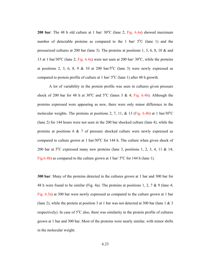**200 bar**: The 48 h old culture at 1 bar/  $30^{\circ}$ C (lane 2; Fig. 6.4a) showed maximum number of detectable proteins as compared to the 1 bar/  $5^{\circ}$ C (lane 1) and the pressurized cultures at 200 bar (lane 3). The proteins at positions 1, 3, 6, 8, 10 & and 13 at 1 bar/30 $^{\circ}$ C (lane 2; Fig. 6.4a) were not seen at 200 bar/30 $^{\circ}$ C, while the proteins at positions 2, 3, 6, 8, 9 & 10 at 200 bar/ $5^{\circ}$ C (lane 3) were newly expressed as compared to protein profile of culture at 1 bar/ $5^{\circ}$ C (lane 1) after 48 h growth.

 A lot of variability in the protein profile was seen in cultures given pressure shock of 200 bar for 48 h at  $30^{\circ}$ C and  $5^{\circ}$ C (lanes 3 & 4; Fig. 6.4b). Although the proteins expressed were appearing as new, there were only minor difference in the molecular weights. The proteins at positions 2, 7, 11, & 13 (Fig. 6.4b) at 1 bar/30 $^{\circ}$ C (lane 2) for 144 hours were not seen in the 200 bar shocked culture (lane 4), while the proteins at positions 6 & 7 of pressure shocked culture were newly expressed as compared to culture grown at 1 bar/ $30^{\circ}$ C for 144 h. The culture when given shock of 200 bar at  $5^{\circ}$ C expressed many new proteins (lane 3, positions 1, 2, 3, 4, 11 & 14; Fig.6.4b) as compared to the culture grown at 1 bar/ $5^{\circ}$ C for 144 h (lane 1).

**300 bar**: Many of the proteins detected in the cultures grown at 1 bar and 300 bar for 48 h were found to be similar (Fig. 4a). The proteins at positions 1, 2, 7 & 9 (lane 4; Fig. 6.5a) at 300 bar were newly expressed as compared to the culture grown at 1 bar (lane 2), while the protein at position 3 at 1 bar was not detected at 300 bar (lane 1 & 3 respectively). In case of  $5^{\circ}$ C also, there was similarity in the protein profile of cultures grown at 1 bar and 300 bar. Most of the proteins were nearly similar, with minor shifts in the molecular weight.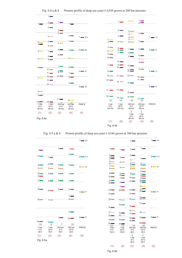

Fig. 6.4 a & b Protein profile of deep sea yeast # A344 grown at 200 bar pressure

Fig. 6.5 a & b Protein profile of deep sea yeast # A344 grown at 300 bar pressure



|                                       |                                        | $1 -$                                                                |                                                                                 | $1 \longrightarrow 205$ |
|---------------------------------------|----------------------------------------|----------------------------------------------------------------------|---------------------------------------------------------------------------------|-------------------------|
| $1 -$                                 | $1 \equiv$                             | $2 \blacksquare$                                                     | $1 \equiv$                                                                      |                         |
| $\overline{2}$<br>$\frac{3}{4}$       | $2 \blacksquare$                       | $3 -$<br>$4 -$                                                       | $2-$                                                                            | $2-$<br>97.4            |
| $5-$<br>6 —                           | $3^{\sim}$                             | $5 -$<br>$6 -$                                                       | $\frac{3}{4}$                                                                   |                         |
| $7 -$<br>$8 \equiv$                   | $4-$                                   | $\frac{7}{8}$ $\blacksquare$                                         | $5 -$                                                                           | $3 - 66$                |
| $9-$                                  | 5 <sub>1</sub><br>$6 -$                | $9 -$                                                                | $6 -$<br>$7 -$<br>$8 \equiv$                                                    |                         |
| $10$ $\blacksquare$<br>11             | $7 -$                                  | $10 \equiv$<br>11                                                    | $9 \equiv$<br>$\frac{10}{11}$                                                   |                         |
| $12$ $-$                              | $8 \equiv$                             |                                                                      | 12                                                                              |                         |
| $13$ $\blacksquare$                   | $9 \Box$<br>10                         | 12                                                                   | 13<br>$14 \equiv$                                                               |                         |
| $14 \equiv$                           |                                        | 13                                                                   |                                                                                 | $4 \longrightarrow 43$  |
| 15                                    | 11                                     | $14 \equiv$                                                          | $^{15}_{16}$ $=$                                                                |                         |
| $16-$                                 | $12$ $\blacksquare$                    | 15                                                                   | $17 \equiv$                                                                     |                         |
| $17$ $-$<br>$18 =$                    | 13<br>14                               | 16<br>$17 -$                                                         | 18                                                                              |                         |
| $19$ ––                               | 15                                     | 18<br>19                                                             | $19$ $\blacksquare$                                                             | $5 - 29$                |
| $20$ $\blacksquare$                   | $16 \equiv$                            |                                                                      | 20                                                                              |                         |
| 20<br>1 bar<br>$5^{\circ}$ C<br>144 h | 16<br>1 bar<br>$30^{\circ}$ C<br>144 h | -19<br>300 bar<br>5°C<br>48 h<br>I<br>1 bar<br>$5^{\circ}$ C<br>96 h | 20<br>300 bar<br>$30^{\circ}$ C<br>48 h<br>I<br>1 bar<br>$30^{\circ}$ C<br>96 h | PMW <sub>B</sub>        |
| (1)                                   | (2)                                    | (3)                                                                  | $(\Delta)$                                                                      | (5)                     |

(1)  $(-)$  (3)  $(3)$ 

Fig. 6.5b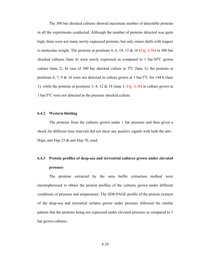The 300 bar shocked cultures showed maximum number of detectable proteins in all the experiments conducted. Although the number of proteins detected was quite high, there were not many newly expressed proteins, but only minor shifts with respect to molecular weight. The proteins at positions 4, 6, 14, 15  $&$  16 (Fig. 6.5b) in 300 bar shocked cultures (lane 4) were newly expressed as compared to 1 bar/ $30^{\circ}$ C grown culture (lane 2). In case of 300 bar shocked culture at  $5^{\circ}$ C (lane 3), the proteins at positions 6, 7, 9 & 16 were not detected in culture grown at 1 bar/ $5^{\circ}$ C for 144 h (lane 1), while the proteins at positions 3, 4, 12  $\&$  18 (lane 1; Fig. 6.5b) in culture grown at 1 bar/5°C were not detected in the pressure shocked culture.

### **6.4.2 Western blotting**

The proteins from the cultures grown under 1 bar pressure and then given a shock for different time intervals did not show any positive signals with both the anti - Hsps, anti Hsp 25 & anti Hsp 70, used.

## **6.4.3 Protein profiles of deep-sea and terrestrial cultures grown under elevated pressure**

The proteins extracted by the urea buffer extraction method were electrophoresed to obtain the protein profiles of the cultures grown under different conditions of pressure and temperature. The SDS-PAGE profile of the protein extracts of the deep-sea and terrestrial isolates grown under pressure followed the similar pattern that the proteins being not expressed under elevated pressure as compared to 1 bar grown cultures.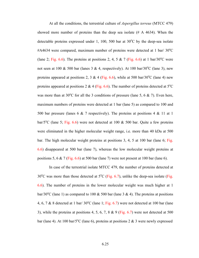At all the conditions, the terrestrial culture of *Aspergillus terreus* (MTCC 479) showed more number of proteins than the deep sea isolate (# A 4634). When the detectable proteins expressed under 1, 100, 500 bar at  $30^{\circ}$ C by the deep-sea isolate  $\#A4634$  were compared, maximum number of proteins were detected at 1 bar/ 30 $^{\circ}$ C (lane 2; Fig. 6.6). The proteins at positions 2, 4, 5 & 7 (Fig. 6.6) at 1 bar/30<sup>o</sup>C were not seen at 100 & 500 bar (lanes 3 & 4, respectively). At 100 bar/30 $^{\circ}$ C (lane 3), new proteins appeared at positions 2, 3 & 4 (Fig. 6.6), while at 500 bar/30<sup>o</sup>C (lane 4) new proteins appeared at positions 2 & 4 (Fig. 6.6). The number of proteins detected at  $5^{\circ}$ C was more than at 30°C for all the 3 conditions of pressure (lane 5, 6  $\&$  7). Even here, maximum numbers of proteins were detected at 1 bar (lane 5) as compared to 100 and 500 bar pressure (lanes 6  $\&$  7 respectively). The proteins at positions 4  $\&$  11 at 1 bar/5<sup>o</sup>C (lane 5; Fig. 6.6) were not detected at 100 & 500 bar. Quite a few proteins were eliminated in the higher molecular weight range, i.e. more than 40 kDa at 500 bar. The high molecular weight proteins at positions 3, 4, 5 at 100 bar (lane 6; Fig. 6.6) disappeared at 500 bar (lane 7), whereas the low molecular weight proteins at positions 5, 6 & 7 (Fig. 6.6) at 500 bar (lane 7) were not present at 100 bar (lane 6).

 In case of the terrestrial isolate MTCC 479, the number of proteins detected at 30 $\rm{^{\circ}C}$  was more than those detected at  $\rm{^{\circ}C}$  (Fig. 6.7), unlike the deep-sea isolate (Fig. 6.6). The number of proteins in the lower molecular weight was much higher at 1 bar/30<sup>o</sup>C (lane 1) as compared to 100 & 500 bar (lane 3 & 4). The proteins at positions 4, 6, 7 & 8 detected at 1 bar/  $30^{\circ}$ C (lane 1; Fig. 6.7) were not detected at 100 bar (lane 3), while the proteins at positions 4, 5, 6, 7, 8 & 9 (Fig. 6.7) were not detected at 500 bar (lane 4). At 100 bar/ $5^{\circ}$ C (lane 6), proteins at positions 2 & 3 were newly expressed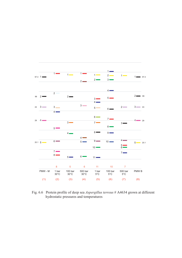

Fig. 6.6 Protein profile of deep sea *Aspergillus terreus* # A4634 grown at different hydrostatic pressures and temperatures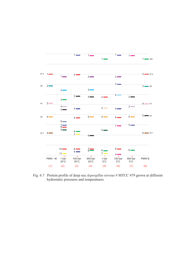

Fig. 6.7 Protein profile of deep sea *Aspergillus terreus* # MTCC 479 grown at different hydrostatic pressures and temperatures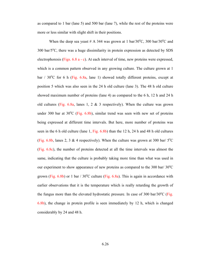as compared to 1 bar (lane 5) and 500 bar (lane 7), while the rest of the proteins were more or less similar with slight shift in their positions.

When the deep sea yeast # A 344 was grown at 1 bar/30 $\degree$ C, 300 bar/30 $\degree$ C and  $300$  bar/ $5^{\circ}$ C, there was a huge dissimilarity in protein expression as detected by SDS electrophoresis (Figs. 6.8 a - c). At each interval of time, new proteins were expressed, which is a common pattern observed in any growing culture. The culture grown at 1 bar /  $30^{\circ}$ C for 6 h (Fig. 6.8a, lane 1) showed totally different proteins, except at position 5 which was also seen in the 24 h old culture (lane 3). The 48 h old culture showed maximum number of proteins (lane 4) as compared to the 6 h, 12 h and 24 h old cultures (Fig. 6.8a, lanes 1, 2  $\&$  3 respectively). When the culture was grown under 300 bar at  $30^{\circ}$ C (Fig. 6.8b), similar trend was seen with new set of proteins being expressed at different time intervals. But here, more number of proteins was seen in the 6 h old culture (lane 1, Fig. 6.8b) than the 12 h, 24 h and 48 h old cultures (Fig. 6.8b, lanes 2, 3 & 4 respectively). When the culture was grown at 300 bar/  $5^{\circ}$ C (Fig. 6.8c), the number of proteins detected at all the time intervals was almost the same, indicating that the culture is probably taking more time than what was used in our experiment to show appearance of new proteins as compared to the 300 bar/ $30^{\circ}$ C grown (Fig.  $6.8b$ ) or 1 bar / 30°C culture (Fig.  $6.8a$ ). This is again in accordance with earlier observations that it is the temperature which is really retarding the growth of the fungus more than the elevated hydrostatic pressure. In case of  $300 \text{ bar}/30^{\circ}\text{C}$  (Fig. 6.8b), the change in protein profile is seen immediately by 12 h, which is changed considerably by 24 and 48 h.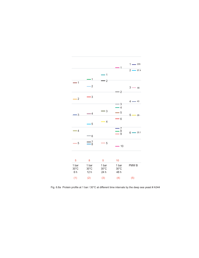

Fig. 6.8a Protein profile at 1 bar / 30°C at different time intervals by the deep sea yeast # A344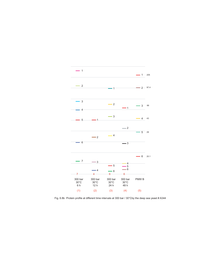

Fig. 6.8b Protein profile at different time intervals at 300 bar / 30°Cby the deep sea yeast # A344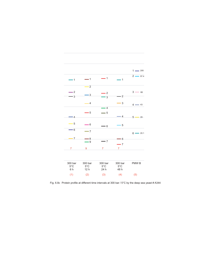

Fig. 6.8c Protein profile at different time intervals at 300 bar / 5°C by the deep sea yeast # A344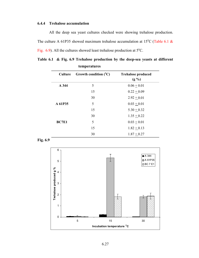### **6.4.4 Trehalose accumulation**

 All the deep sea yeast cultures checked were showing trehalose production. The culture A 61P35 showed maximum trehalose accumulation at 15<sup>o</sup>C (Table 6.1 & Fig.  $6.9$ ). All the cultures showed least trehalose production at  $5^{\circ}$ C.

**Table 6.1 & Fig. 6.9 Trehalose production by the deep-sea yeasts at different temperatures** 

| <b>Culture</b> | Growth condition $(^{\circ}C)$ | <b>Trehalose produced</b><br>$(g\% )$ |
|----------------|--------------------------------|---------------------------------------|
| A 344          | 5                              | $0.06 + 0.01$                         |
|                | 15                             | $0.22 + 0.09$                         |
|                | 30                             | $2.92 + 0.01$                         |
| A 61P35        | 5                              | $0.03 + 0.01$                         |
|                | 15                             | $5.30 + 0.32$                         |
|                | 30                             | $1.35 + 0.22$                         |
| BC7E1          | 5                              | $0.03 + 0.01$                         |
|                | 15                             | $1.82 + 0.13$                         |
|                | 30                             | $1.87 + 0.27$                         |



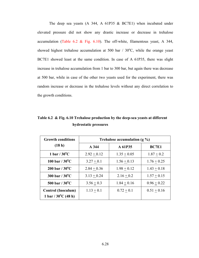The deep sea yeasts (A 344, A 61P35 & BC7E1) when incubated under elevated pressure did not show any drastic increase or decrease in trehalose accumulation (Table 6.2 & Fig. 6.10). The off-white, filamentous yeast, A 344, showed highest trehalose accumulation at 500 bar  $/$  30 $^{\circ}$ C, while the orange yeast BC7E1 showed least at the same condition. In case of A 61P35, there was slight increase in trehalose accumulation from 1 bar to 300 bar, but again there was decrease at 500 bar, while in case of the other two yeasts used for the experiment, there was random increase or decrease in the trehalose levels without any direct correlation to the growth conditions.

| <b>Growth conditions</b>      | Trehalose accumulation $(g \%)$ |               |               |  |
|-------------------------------|---------------------------------|---------------|---------------|--|
| (18 h)                        | A 344                           | A 61P35       | <b>BC7E1</b>  |  |
| 1 bar / $30^{\circ}$ C        | $2.92 + 0.12$                   | $1.35 + 0.05$ | $1.87 + 0.2$  |  |
| 100 bar / $30^{\circ}$ C      | $3.27 + 0.1$                    | $1.56 + 0.13$ | $1.76 + 0.25$ |  |
| $200$ bar / $30^{\circ}$ C    | $2.84 + 0.36$                   | $1.98 + 0.12$ | $1.43 + 0.18$ |  |
| 300 bar / $30^{\circ}$ C      | $3.13 + 0.24$                   | $2.16 + 0.2$  | $1.57 + 0.15$ |  |
| 500 bar / $30^{\circ}$ C      | $3.56 + 0.3$                    | $1.84 + 0.16$ | $0.96 + 0.22$ |  |
| <b>Control (Inoculum)</b>     | $1.13 + 0.1$                    | $0.72 + 0.1$  | $0.51 + 0.16$ |  |
| 1 bar / $30^{\circ}$ C (48 h) |                                 |               |               |  |

**Table 6.2 & Fig. 6.10 Trehalose production by the deep-sea yeasts at different hydrostatic pressures**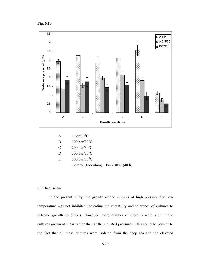**Fig. 6.10** 



- A  $1 \text{ bar}/30^{\circ}\text{C}$
- B  $100 \text{ bar}/30^{\circ}\text{C}$
- C  $200 \text{ bar}/30^{\circ}\text{C}$
- D  $300 \text{ bar}/30^{\circ}\text{C}$
- E  $500 \text{ bar}/30^{\circ}\text{C}$
- F Control (Inoculum) 1 bar  $/30^{\circ}$ C (48 h)

### **6.5 Discussion**

In the present study, the growth of the cultures at high pressure and low temperature was not inhibited indicating the versatility and tolerance of cultures to extreme growth conditions. However, more number of proteins were seen in the cultures grown at 1 bar rather than at the elevated pressures. This could be pointer to the fact that all these cultures were isolated from the deep sea and the elevated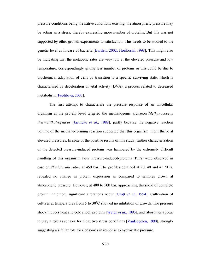pressure conditions being the native conditions existing, the atmospheric pressure may be acting as a stress, thereby expressing more number of proteins. But this was not supported by other growth experiments to satisfaction. This needs to be studied to the genetic level as in case of bacteria [Bartlett, 2002; Horikoshi, 1998]. This might also be indicating that the metabolic rates are very low at the elevated pressure and low temperature, correspondingly giving less number of proteins or this could be due to biochemical adaptation of cells by transition to a specific surviving state, which is characterized by deceleration of vital activity (DVA), a process related to decreased metabolism [Feofilova, 2003].

The first attempt to characterize the pressure response of an unicellular organism at the protein level targeted the methanogenic archaeon *Methanococcus thermolithotrophicus* [Jaenicke *et al*., 1988], partly because the negative reaction volume of the methane-forming reaction suggested that this organism might thrive at elevated pressures. In spite of the positive results of this study, further characterization of the detected pressure-induced proteins was hampered by the extremely difficult handling of this organism. Four Pressure-induced-proteins (PIPs) were observed in case of *Rhodotorula rubra* at 450 bar. The profiles obtained at 20, 40 and 45 MPa, revealed no change in protein expression as compared to samples grown at atmospheric pressure. However, at 400 to 500 bar, approaching threshold of complete growth inhibition, significant alterations occur [Groβ *et al.*, 1994]. Cultivation of cultures at temperatures from 5 to  $30^{\circ}$ C showed no inhibition of growth. The pressure shock induces heat and cold shock proteins [Welch *et al.*, 1993], and ribosomes appear to play a role as sensors for these two stress conditions [VanBogelen, 1990], strongly suggesting a similar role for ribosomes in response to hydrostatic pressure.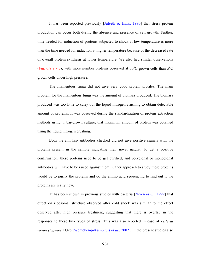It has been reported previously *[Julseth & Innis, 1990]* that stress protein production can occur both during the absence and presence of cell growth. Further, time needed for induction of proteins subjected to shock at low temperature is more than the time needed for induction at higher temperature because of the decreased rate of overall protein synthesis at lower temperature. We also had similar observations (Fig. 6.8 a - c), with more number proteins observed at  $30^{\circ}$ C grown cells than  $5^{\circ}$ C grown cells under high pressure.

The filamentous fungi did not give very good protein profiles. The main problem for the filamentous fungi was the amount of biomass produced. The biomass produced was too little to carry out the liquid nitrogen crushing to obtain detectable amount of proteins. It was observed during the standardization of protein extraction methods using, 1 bar-grown culture, that maximum amount of protein was obtained using the liquid nitrogen crushing.

Both the anti hsp antibodies checked did not give positive signals with the proteins present in the sample indicating their novel nature. To get a positive confirmation, these proteins need to be gel purified, and polyclonal or monoclonal antibodies will have to be raised against them. Other approach to study these proteins would be to purify the proteins and do the amino acid sequencing to find out if the proteins are really new.

 It has been shown in previous studies with bacteria [Niven *et al*., 1999] that effect on ribosomal structure observed after cold shock was similar to the effect observed after high pressure treatment, suggesting that there is overlap in the responses to these two types of stress. This was also reported in case of *Listeria monocytogenes* LO28 [Wemekemp-Kamphuis *et al*., 2002]. In the present studies also

6.31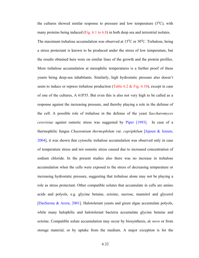the cultures showed similar response to pressure and low temperature  $(5^{\circ}C)$ , with many proteins being induced (Fig. 6.1 to 6.8) in both deep sea and terrestrial isolates.

The maximum trehalose accumulation was observed at  $15^{\circ}$ C or  $30^{\circ}$ C. Trehalose, being a stress protectant is known to be produced under the stress of low temperature, but the results obtained here were on similar lines of the growth and the protein profiles. More trehalose accumulation at mesophilic temperatures is a further proof of these yeasts being deep-sea inhabitants. Similarly, high hydrostatic pressure also doesn't seem to induce or repress trehalose production (Table 6.2  $&$  Fig. 6.10), except in case of one of the cultures, A 61P35. But even this is also not very high to be called as a response against the increasing pressure, and thereby playing a role in the defense of the cell. A possible role of trehalose in the defense of the yeast *Saccharomyces cerevisiae* against osmotic stress was suggested by Piper [1993]. In case of a thermophilic fungus *Chaetomium thermophilum* var. *copriphilum* [Jepsen & Jensen, 2004], it was shown that cytosolic trehalose accumulation was observed only in case of temperature stress and not osmotic stress caused due to increased concentration of sodium chloride. In the present studies also there was no increase in trehalose accumulation when the cells were exposed to the stress of decreasing temperature or increasing hydrostatic pressure, suggesting that trehalose alone may not be playing a role as stress protectant. Other compatible solutes that accumulate in cells are amino acids and polyols, e.g. glycine betaine, ectoine, sucrose, mannitol and glycerol [DasSarma & Arora, 2001]. Halotolerant yeasts and green algae accumulate polyols, while many halophilic and halotolerant bacteria accumulate glycine betaine and ectoine. Compatible solute accumulation may occur by biosynthesis, *de novo* or from storage material, or by uptake from the medium. A major exception is for the